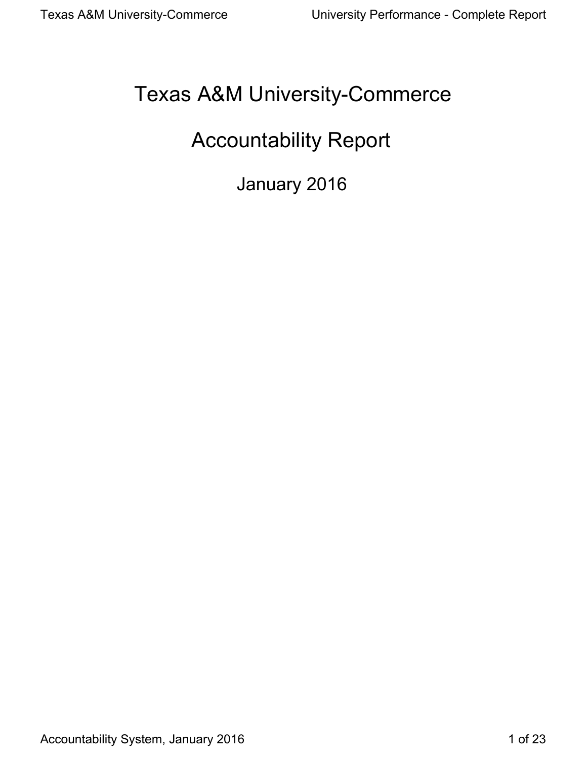# Texas A&M University-Commerce

# Accountability Report

January 2016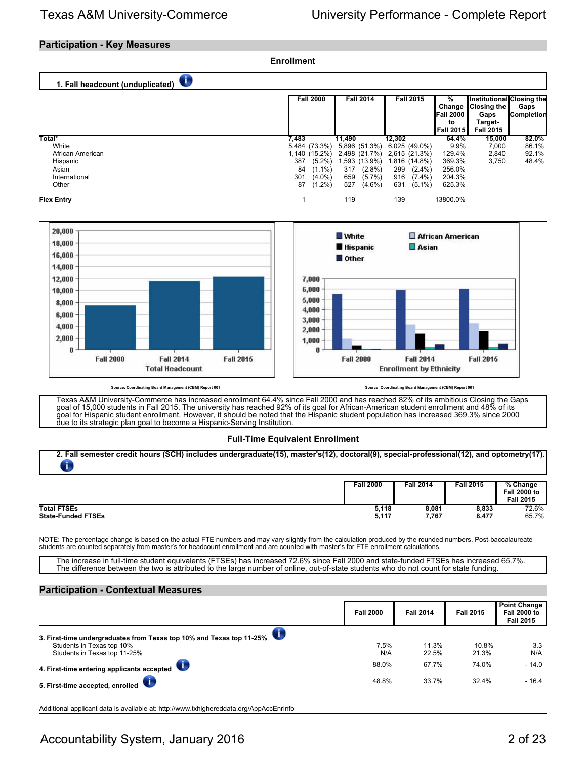## **Participation - Key Measures**



### The difference between the two is attributed to the large number of online, out-of-state students who do not count for state funding.

### **Participation - Contextual Measures**

|                                                                                                                                   | <b>Fall 2000</b> | <b>Fall 2014</b> | <b>Fall 2015</b> | <b>Point Change</b><br><b>Fall 2000 to</b><br><b>Fall 2015</b> |
|-----------------------------------------------------------------------------------------------------------------------------------|------------------|------------------|------------------|----------------------------------------------------------------|
| 3. First-time undergraduates from Texas top 10% and Texas top 11-25%<br>Students in Texas top 10%<br>Students in Texas top 11-25% | 7.5%<br>N/A      | 11.3%<br>22.5%   | 10.8%<br>21.3%   | 3.3<br>N/A                                                     |
| 4. First-time entering applicants accepted                                                                                        | 88.0%            | 67.7%            | 74.0%            | $-14.0$                                                        |
| 5. First-time accepted, enrolled                                                                                                  | 48.8%            | 33.7%            | 32.4%            | $-16.4$                                                        |

Additional applicant data is available at: http://www.txhighereddata.org/AppAccEnrInfo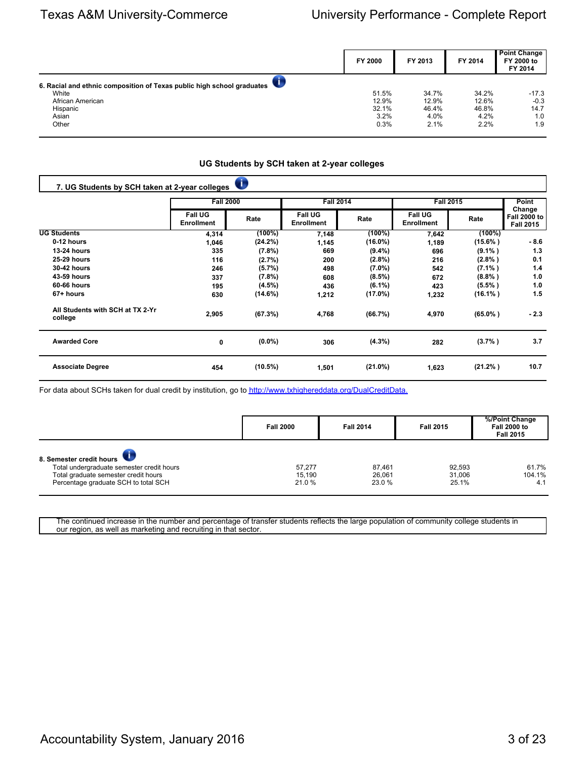|                                                                        | FY 2000 | FY 2013 | FY 2014 | <b>Point Change</b><br>FY 2000 to<br>FY 2014 |
|------------------------------------------------------------------------|---------|---------|---------|----------------------------------------------|
| 6. Racial and ethnic composition of Texas public high school graduates |         |         |         |                                              |
| White                                                                  | 51.5%   | 34.7%   | 34.2%   | $-17.3$                                      |
| African American                                                       | 12.9%   | 12.9%   | 12.6%   | $-0.3$                                       |
| Hispanic                                                               | 32.1%   | 46.4%   | 46.8%   | 14.7                                         |
| Asian                                                                  | 3.2%    | 4.0%    | 4.2%    | 1.0                                          |
| Other                                                                  | 0.3%    | 2.1%    | 2.2%    | 1.9                                          |

## **UG Students by SCH taken at 2-year colleges**

| 7. UG Students by SCH taken at 2-year colleges |                                     | Ü          |                                     |            |                                     |             |                                                   |
|------------------------------------------------|-------------------------------------|------------|-------------------------------------|------------|-------------------------------------|-------------|---------------------------------------------------|
|                                                | <b>Fall 2000</b>                    |            | <b>Fall 2014</b>                    |            | <b>Fall 2015</b>                    |             | <b>Point</b>                                      |
|                                                | <b>Fall UG</b><br><b>Enrollment</b> | Rate       | <b>Fall UG</b><br><b>Enrollment</b> | Rate       | <b>Fall UG</b><br><b>Enrollment</b> | Rate        | Change<br><b>Fall 2000 to</b><br><b>Fall 2015</b> |
| <b>UG Students</b>                             | 4,314                               | $(100\%)$  | 7,148                               | $(100\%)$  | 7,642                               | $(100\%)$   |                                                   |
| 0-12 hours                                     | 1,046                               | (24.2%)    | 1,145                               | $(16.0\%)$ | 1,189                               | $(15.6\%)$  | - 8.6                                             |
| <b>13-24 hours</b>                             | 335                                 | (7.8%)     | 669                                 | $(9.4\%)$  | 696                                 | $(9.1\%)$   | 1.3                                               |
| <b>25-29 hours</b>                             | 116                                 | (2.7%)     | 200                                 | $(2.8\%)$  | 216                                 | (2.8% )     | 0.1                                               |
| <b>30-42 hours</b>                             | 246                                 | (5.7%)     | 498                                 | $(7.0\%)$  | 542                                 | $(7.1\%)$   | 1.4                                               |
| 43-59 hours                                    | 337                                 | (7.8%)     | 608                                 | $(8.5\%)$  | 672                                 | $(8.8\%)$   | 1.0                                               |
| 60-66 hours                                    | 195                                 | $(4.5\%)$  | 436                                 | $(6.1\%)$  | 423                                 | $(5.5\%)$   | 1.0                                               |
| 67+ hours                                      | 630                                 | (14.6%)    | 1,212                               | $(17.0\%)$ | 1,232                               | $(16.1\%)$  | 1.5                                               |
| All Students with SCH at TX 2-Yr<br>college    | 2,905                               | (67.3%)    | 4,768                               | (66.7%)    | 4,970                               | $(65.0\% )$ | $-2.3$                                            |
| <b>Awarded Core</b>                            | 0                                   | $(0.0\%)$  | 306                                 | $(4.3\%)$  | 282                                 | $(3.7\%)$   | 3.7                                               |
| <b>Associate Degree</b>                        | 454                                 | $(10.5\%)$ | 1,501                               | $(21.0\%)$ | 1,623                               | $(21.2\%)$  | 10.7                                              |

For data about SCHs taken for dual credit by institution, go to [http://www.txhighereddata.org/DualCreditData.](http://www.txhighereddata.org/DualCreditData)

|                                                                                                                                                       | <b>Fall 2000</b>          | <b>Fall 2014</b>          | <b>Fall 2015</b>          | %/Point Change<br><b>Fall 2000 to</b><br><b>Fall 2015</b> |
|-------------------------------------------------------------------------------------------------------------------------------------------------------|---------------------------|---------------------------|---------------------------|-----------------------------------------------------------|
| 8. Semester credit hours<br>Total undergraduate semester credit hours<br>Total graduate semester credit hours<br>Percentage graduate SCH to total SCH | 57.277<br>15.190<br>21.0% | 87.461<br>26.061<br>23.0% | 92,593<br>31,006<br>25.1% | 61.7%<br>104.1%<br>4.1                                    |

The continued increase in the number and percentage of transfer students reflects the large population of community college students in our region, as well as marketing and recruiting in that sector.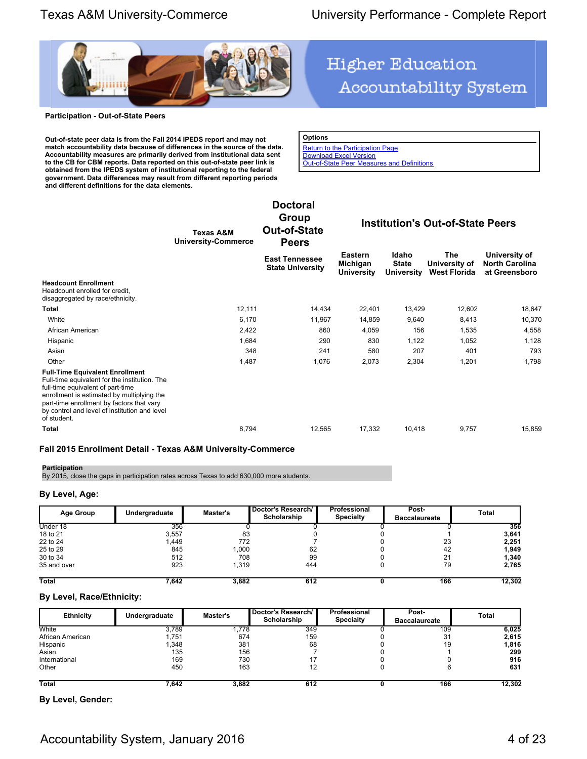**Accountability System** 



#### **Participation - Out-of-State Peers**

**Out-of-state peer data is from the Fall 2014 IPEDS report and may not match accountability data because of differences in the source of the data. Accountability measures are primarily derived from institutional data sent to the CB for CBM reports. Data reported on this out-of-state peer link is obtained from the IPEDS system of institutional reporting to the federal government. Data differences may result from different reporting periods and different definitions for the data elements.**

| <b>Options</b>                                    |
|---------------------------------------------------|
| <b>Return to the Participation Page</b>           |
| <b>Download Excel Version</b>                     |
| <b>Out-of-State Peer Measures and Definitions</b> |

**Higher Education** 

**Texas A&M University-Commerce Doctoral Group Out-of-State Peers Institution's Out-of-State Peers East Tennessee State University Eastern Michigan University Idaho State University The University of West Florida University of North Carolina at Greensboro Headcount Enrollment** Headcount enrolled for credit, disaggregated by race/ethnicity. **Total** 12,111 14,434 22,401 13,429 12,602 18,647 13,429 12,602 18,647 White 6,170 11,967 14,859 9,640 8,413 10,370 African American 2,422 860 4,059 156 1,535 4,558 Hispanic 1,684 1,684 290 830 1,122 1,052 1,128 1,128 Asian 348 241 580 207 401 793 Other 1,487 1,076 2,073 2,304 1,201 1,798 **Full-Time Equivalent Enrollment** Full-time equivalent for the institution. The full-time equivalent of part-time enrollment is estimated by multiplying the part-time enrollment by factors that vary by control and level of institution and level of student.

**Total** 8,794 12,565 17,332 10,418 9,757 15,859 15,859

### **Fall 2015 Enrollment Detail - Texas A&M University-Commerce**

## **Participation**

By 2015, close the gaps in participation rates across Texas to add 630,000 more students.

### **By Level, Age:**

| <b>Age Group</b> | Undergraduate | Master's | Doctor's Research/<br>Scholarship | Professional<br><b>Specialty</b> | Post-<br><b>Baccalaureate</b> | Total  |
|------------------|---------------|----------|-----------------------------------|----------------------------------|-------------------------------|--------|
| Under 18         | 356           |          |                                   |                                  |                               | 356    |
| 18 to 21         | 3,557         | 83       |                                   |                                  |                               | 3,641  |
| 22 to 24         | 1.449         | 772      |                                   |                                  | 23                            | 2,251  |
| 25 to 29         | 845           | 000, ا   | 62                                |                                  | 42                            | 1,949  |
| 30 to 34         | 512           | 708      | 99                                |                                  | 21                            | 1,340  |
| 35 and over      | 923           | 1,319    | 444                               |                                  | 79                            | 2,765  |
| <b>Total</b>     | 7.642         | 3,882    | 612                               |                                  | 166                           | 12,302 |

### **By Level, Race/Ethnicity:**

| <b>Ethnicity</b> | Undergraduate | Master's | Doctor's Research/<br>Scholarship | Professional<br><b>Specialty</b> | Post-<br><b>Baccalaureate</b> | Total  |
|------------------|---------------|----------|-----------------------------------|----------------------------------|-------------------------------|--------|
| White            | 3,789         | .778     | 349                               |                                  | 109                           | 6,025  |
| African American | 1,751         | 674      | 159                               |                                  | 31                            | 2,615  |
| Hispanic         | 1,348         | 381      | 68                                |                                  | 19                            | 1,816  |
| Asian            | 135           | 156      |                                   |                                  |                               | 299    |
| International    | 169           | 730      | 17                                |                                  |                               | 916    |
| Other            | 450           | 163      | 12                                |                                  |                               | 631    |
| <b>Total</b>     | 7,642         | 3,882    | 612                               |                                  | 166                           | 12,302 |

**By Level, Gender:**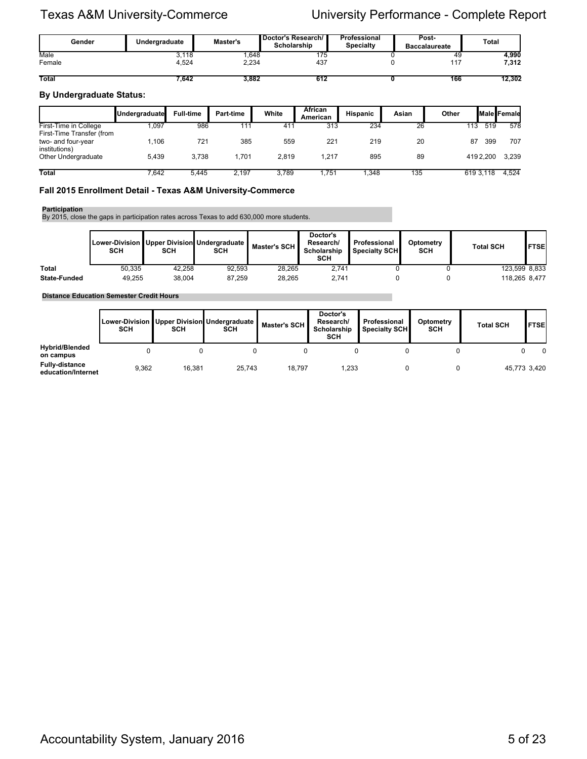| Gender       | Master's<br>Undergraduate |       | Doctor's Research/<br>Scholarship | Professional<br><b>Specialty</b> | Post-<br><b>Baccalaureate</b> | <b>Total</b> |  |  |
|--------------|---------------------------|-------|-----------------------------------|----------------------------------|-------------------------------|--------------|--|--|
| Male         | 3.118                     | .648  | 175                               |                                  | 49                            | 4.990        |  |  |
| Female       | 4.524                     | 2,234 | 437                               |                                  | 447                           | 7,312        |  |  |
| <b>Total</b> | 7.642                     | 3.882 | 612                               |                                  | 166                           | 12.302       |  |  |

## **By Undergraduate Status:**

|                                                                  | Undergraduate | <b>Full-time</b> | Part-time | White | <b>African</b><br>American | <b>Hispanic</b> | Asian | Other |           | <b>I</b> Male Female |
|------------------------------------------------------------------|---------------|------------------|-----------|-------|----------------------------|-----------------|-------|-------|-----------|----------------------|
| First-Time in College                                            | 1.097         | 986              | 111       | 41'   | 313                        | 234             | 26    | 113   | 519       | 578                  |
| First-Time Transfer (from<br>two- and four-year<br>institutions) | 1.106         | 721              | 385       | 559   | 221                        | 219             | 20    | 87    | 399       | 707                  |
| Other Undergraduate                                              | 5.439         | 3.738            | .701      | 2.819 | 1.217                      | 895             | 89    |       | 4192.200  | 3,239                |
| <b>Total</b>                                                     | 7.642         | 5,445            | 2.197     | 3.789 | ,751                       | .348            | 135   |       | 619 3.118 | 4,524                |

## **Fall 2015 Enrollment Detail - Texas A&M University-Commerce**

#### **Participation**

By 2015, close the gaps in participation rates across Texas to add 630,000 more students.

|                     | SCH    | <b>SCH</b> | Lower-Division   Upper Division Undergraduate  <br><b>SCH</b> | Master's SCH I | Doctor's<br>Research/<br>Scholarship<br><b>SCH</b> | Professional<br><b>Specialtv SCH∎</b> | Optometry<br><b>SCH</b> | <b>Total SCH</b> | l FTSEl |
|---------------------|--------|------------|---------------------------------------------------------------|----------------|----------------------------------------------------|---------------------------------------|-------------------------|------------------|---------|
| <b>Total</b>        | 50.335 | 42.258     | 92.593                                                        | 28.265         | 2.741                                              |                                       |                         | 123.599 8.833    |         |
| <b>State-Funded</b> | 49.255 | 38.004     | 87.259                                                        | 28.265         | 2.741                                              |                                       |                         | 118.265 8.477    |         |

**Distance Education Semester Credit Hours**

|                                             | <b>SCH</b> | <b>SCH</b> | Lower-Division   Upper Division   Undergraduate  <br><b>SCH</b> | Master's SCH I | Doctor's<br>Research/<br>Scholarship<br><b>SCH</b> | Professional<br>Specialty SCH | Optometry<br><b>SCH</b> | <b>Total SCH</b> | <b>FTSE</b>  |
|---------------------------------------------|------------|------------|-----------------------------------------------------------------|----------------|----------------------------------------------------|-------------------------------|-------------------------|------------------|--------------|
| <b>Hybrid/Blended</b><br>on campus          |            |            |                                                                 |                |                                                    |                               |                         |                  | O            |
| <b>Fully-distance</b><br>education/Internet | 9,362      | 16,381     | 25.743                                                          | 18.797         | 1,233                                              |                               |                         |                  | 45,773 3,420 |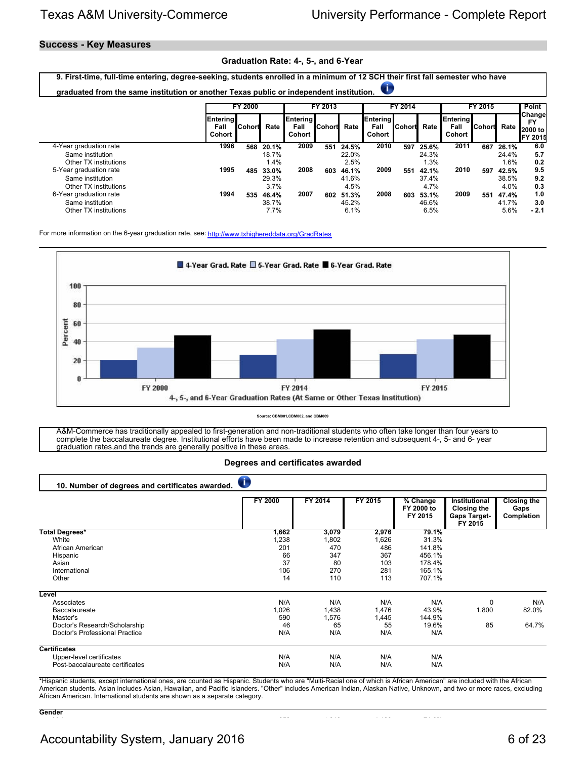## **Success - Key Measures**

## **Graduation Rate: 4-, 5-, and 6-Year**

| 9. First-time, full-time entering, degree-seeking, students enrolled in a minimum of 12 SCH their first fall semester who have<br>T<br>graduated from the same institution or another Texas public or independent institution. |                                          |                                   |                                          |                            |                   |                                          |                                          |                          |                                            |                                   |                            |                                          |                                                           |
|--------------------------------------------------------------------------------------------------------------------------------------------------------------------------------------------------------------------------------|------------------------------------------|-----------------------------------|------------------------------------------|----------------------------|-------------------|------------------------------------------|------------------------------------------|--------------------------|--------------------------------------------|-----------------------------------|----------------------------|------------------------------------------|-----------------------------------------------------------|
|                                                                                                                                                                                                                                | <b>Entering</b><br>Fall<br><b>Cohort</b> | <b>FY 2000</b><br><b>I</b> Cohort | Rate                                     | Entering<br>Fall<br>Cohort | FY 2013<br>Cohort | Rate                                     | <b>Entering</b><br>Fall<br><b>Cohort</b> | FY 2014<br><b>Cohort</b> | Rate                                       | <b>Entering</b><br>Fall<br>Cohort | FY 2015<br><b>I</b> Cohort | Rate                                     | Point<br>Change<br><b>FY</b><br>2000 to<br><b>FY 2015</b> |
| 4-Year graduation rate<br>Same institution<br>Other TX institutions<br>5-Year graduation rate<br>Same institution                                                                                                              | 1996<br>1995                             | 568<br>485                        | 20.1%<br>18.7%<br>1.4%<br>33.0%<br>29.3% | 2009<br>2008               | 551<br>603        | 24.5%<br>22.0%<br>2.5%<br>46.1%<br>41.6% | 2010<br>2009                             | 597<br>551               | 25.6%<br>24.3%<br>$.3\%$<br>42.1%<br>37.4% | 2011<br>2010                      | 667<br>597                 | 26.1%<br>24.4%<br>1.6%<br>42.5%<br>38.5% | 6.0<br>5.7<br>0.2<br>9.5<br>9.2                           |
| Other TX institutions<br>6-Year graduation rate<br>Same institution<br>Other TX institutions                                                                                                                                   | 1994                                     | 535                               | 3.7%<br>46.4%<br>38.7%<br>7.7%           | 2007                       | 602               | 4.5%<br>51.3%<br>45.2%<br>6.1%           | 2008                                     | 603                      | 4.7%<br>53.1%<br>46.6%<br>6.5%             | 2009                              | 551                        | $4.0\%$<br>47.4%<br>41.7%<br>5.6%        | 0.3<br>1.0<br>3.0<br>$-2.1$                               |

For more information on the 6-year graduation rate, see:<http://www.txhighereddata.org/GradRates>



**Source: CBM001,CBM002, and CBM009**

A&M-Commerce has traditionally appealed to first-generation and non-traditional students who often take longer than four years to complete the baccalaureate degree. Institutional efforts have been made to increase retention and subsequent 4-, 5- and 6- year graduation rates, and the trends are generally positive in these areas.

### **Degrees and certificates awarded**

| 10. Number of degrees and certificates awarded. | O              |         |         |                                     |                                                                       |                                          |
|-------------------------------------------------|----------------|---------|---------|-------------------------------------|-----------------------------------------------------------------------|------------------------------------------|
|                                                 | <b>FY 2000</b> | FY 2014 | FY 2015 | $%$ Change<br>FY 2000 to<br>FY 2015 | Institutional<br><b>Closing the</b><br><b>Gaps Target-</b><br>FY 2015 | <b>Closing the</b><br>Gaps<br>Completion |
| Total Degrees*                                  | 1,662          | 3,079   | 2,976   | 79.1%                               |                                                                       |                                          |
| White                                           | 1,238          | 1,802   | 1,626   | 31.3%                               |                                                                       |                                          |
| African American                                | 201            | 470     | 486     | 141.8%                              |                                                                       |                                          |
| Hispanic                                        | 66             | 347     | 367     | 456.1%                              |                                                                       |                                          |
| Asian                                           | 37             | 80      | 103     | 178.4%                              |                                                                       |                                          |
| International                                   | 106            | 270     | 281     | 165.1%                              |                                                                       |                                          |
| Other                                           | 14             | 110     | 113     | 707.1%                              |                                                                       |                                          |
| Level                                           |                |         |         |                                     |                                                                       |                                          |
| Associates                                      | N/A            | N/A     | N/A     | N/A                                 | 0                                                                     | N/A                                      |
| Baccalaureate                                   | 1,026          | 1,438   | 1,476   | 43.9%                               | 1,800                                                                 | 82.0%                                    |
| Master's                                        | 590            | 1,576   | 1,445   | 144.9%                              |                                                                       |                                          |
| Doctor's Research/Scholarship                   | 46             | 65      | 55      | 19.6%                               | 85                                                                    | 64.7%                                    |
| Doctor's Professional Practice                  | N/A            | N/A     | N/A     | N/A                                 |                                                                       |                                          |
| <b>Certificates</b>                             |                |         |         |                                     |                                                                       |                                          |
| Upper-level certificates                        | N/A            | N/A     | N/A     | N/A                                 |                                                                       |                                          |
| Post-baccalaureate certificates                 | N/A            | N/A     | N/A     | N/A                                 |                                                                       |                                          |

\*Hispanic students, except international ones, are counted as Hispanic. Students who are "Multi-Racial one of which is African American" are included with the African American students. Asian includes Asian, Hawaiian, and Pacific Islanders. "Other" includes American Indian, Alaskan Native, Unknown, and two or more races, excluding African American. International students are shown as a separate category.

#### **Gender** Male 652 1,210 1,120 71.8%

Accountability System, January 2016 **6 of 23** 6 of 23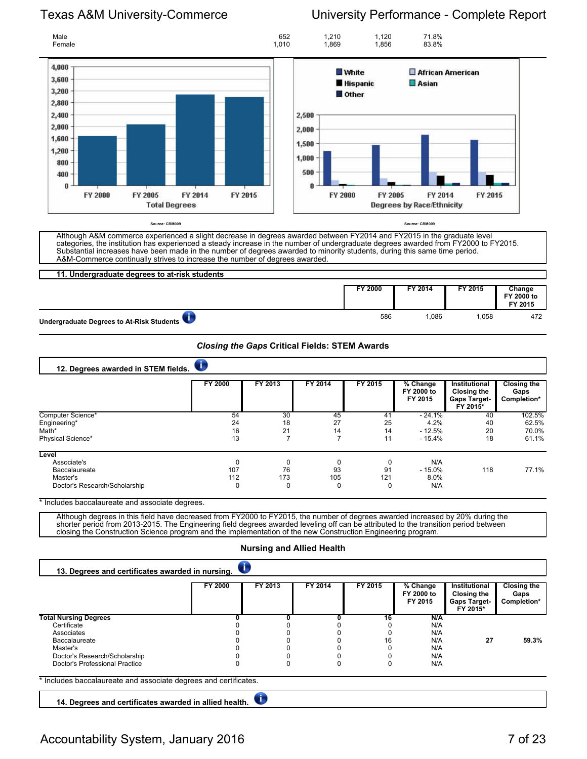

**11. Undergraduate degrees to at-risk students FY 2000 FY 2014 FY 2015 Change FY 2000 to FY 2015** Undergraduate Degrees to At-Risk Students **1,058** 472

*Closing the Gaps* **Critical Fields: STEM Awards**

| 12. Degrees awarded in STEM fields. |                |         |         |         |                                   |                                                                        |                                           |
|-------------------------------------|----------------|---------|---------|---------|-----------------------------------|------------------------------------------------------------------------|-------------------------------------------|
|                                     | <b>FY 2000</b> | FY 2013 | FY 2014 | FY 2015 | % Change<br>FY 2000 to<br>FY 2015 | Institutional<br><b>Closing the</b><br><b>Gaps Target-</b><br>FY 2015* | <b>Closing the</b><br>Gaps<br>Completion* |
| Computer Science*                   | 54             | 30      | 45      | 41      | $-24.1%$                          | 40                                                                     | 102.5%                                    |
| Engineering*                        | 24             | 18      | 27      | 25      | 4.2%                              | 40                                                                     | 62.5%                                     |
| Math*                               | 16             | 21      | 14      | 14      | $-12.5%$                          | 20                                                                     | 70.0%                                     |
| Physical Science*                   | 13             |         |         | 11      | $-15.4%$                          | 18                                                                     | 61.1%                                     |
| Level                               |                |         |         |         |                                   |                                                                        |                                           |
| Associate's                         |                | 0       |         | 0       | N/A                               |                                                                        |                                           |
| Baccalaureate                       | 107            | 76      | 93      | 91      | $-15.0%$                          | 118                                                                    | 77.1%                                     |
| Master's                            | 112            | 173     | 105     | 121     | 8.0%                              |                                                                        |                                           |
| Doctor's Research/Scholarship       |                | 0       | 0       | 0       | N/A                               |                                                                        |                                           |

\* Includes baccalaureate and associate degrees.

Although degrees in this field have decreased from FY2000 to FY2015, the number of degrees awarded increased by 20% during the shorter period from 2013-2015. The Engineering field degrees awarded leveling off can be attributed to the transition period between closing the Construction Science program and the implementation of the new Construction Engineering program.

### **Nursing and Allied Health**

| 13. Degrees and certificates awarded in nursing.                 |         |         |         |         |                                     |                                                                 |                                           |  |  |  |
|------------------------------------------------------------------|---------|---------|---------|---------|-------------------------------------|-----------------------------------------------------------------|-------------------------------------------|--|--|--|
|                                                                  | FY 2000 | FY 2013 | FY 2014 | FY 2015 | $%$ Change<br>FY 2000 to<br>FY 2015 | Institutional<br>Closing the<br><b>Gaps Target-</b><br>FY 2015* | <b>Closing the</b><br>Gaps<br>Completion* |  |  |  |
| <b>Total Nursing Degrees</b>                                     |         |         |         | 16      | N/A                                 |                                                                 |                                           |  |  |  |
| Certificate                                                      |         |         |         |         | N/A                                 |                                                                 |                                           |  |  |  |
| Associates                                                       |         |         |         |         | N/A                                 |                                                                 |                                           |  |  |  |
| Baccalaureate                                                    |         |         |         | 16      | N/A                                 | 27                                                              | 59.3%                                     |  |  |  |
| Master's                                                         |         |         |         |         | N/A                                 |                                                                 |                                           |  |  |  |
| Doctor's Research/Scholarship                                    |         |         |         |         | N/A                                 |                                                                 |                                           |  |  |  |
| Doctor's Professional Practice                                   |         |         |         |         | N/A                                 |                                                                 |                                           |  |  |  |
| * Includes baccalaureate and associate degrees and certificates. |         |         |         |         |                                     |                                                                 |                                           |  |  |  |

 $\sqrt{1}$ **14. Degrees and certificates awarded in allied health.**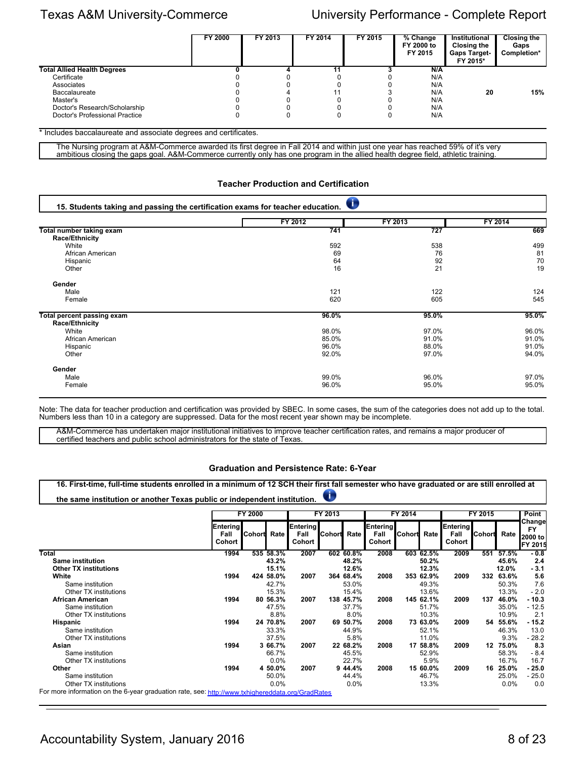|                                    | FY 2000 | FY 2013 | FY 2014 | FY 2015 | % Change<br>FY 2000 to<br>FY 2015 | Institutional<br><b>Closing the</b><br><b>Gaps Target-</b><br>FY 2015* | <b>Closing the</b><br>Gaps<br>Completion* |
|------------------------------------|---------|---------|---------|---------|-----------------------------------|------------------------------------------------------------------------|-------------------------------------------|
| <b>Total Allied Health Degrees</b> |         |         |         |         | N/A                               |                                                                        |                                           |
| Certificate                        |         |         |         |         | N/A                               |                                                                        |                                           |
| Associates                         |         |         |         |         | N/A                               |                                                                        |                                           |
| <b>Baccalaureate</b>               |         |         |         |         | N/A                               | 20                                                                     | 15%                                       |
| Master's                           |         |         |         |         | N/A                               |                                                                        |                                           |
| Doctor's Research/Scholarship      |         |         |         |         | N/A                               |                                                                        |                                           |
| Doctor's Professional Practice     |         |         |         |         | N/A                               |                                                                        |                                           |

\* Includes baccalaureate and associate degrees and certificates.

The Nursing program at A&M-Commerce awarded its first degree in Fall 2014 and within just one year has reached 59% of it's very ambitious closing the gaps goal. A&M-Commerce currently only has one program in the allied health degree field, athletic training.

### **Teacher Production and Certification**

| 15. Students taking and passing the certification exams for teacher education. |         |         |         |  |  |  |  |  |  |  |  |
|--------------------------------------------------------------------------------|---------|---------|---------|--|--|--|--|--|--|--|--|
|                                                                                | FY 2012 | FY 2013 | FY 2014 |  |  |  |  |  |  |  |  |
| Total number taking exam                                                       | 741     | 727     | 669     |  |  |  |  |  |  |  |  |
| Race/Ethnicity                                                                 |         |         |         |  |  |  |  |  |  |  |  |
| White                                                                          | 592     | 538     | 499     |  |  |  |  |  |  |  |  |
| African American                                                               | 69      | 76      | 81      |  |  |  |  |  |  |  |  |
| Hispanic                                                                       | 64      | 92      | 70      |  |  |  |  |  |  |  |  |
| Other                                                                          | 16      | 21      | 19      |  |  |  |  |  |  |  |  |
| Gender                                                                         |         |         |         |  |  |  |  |  |  |  |  |
| Male                                                                           | 121     | 122     | 124     |  |  |  |  |  |  |  |  |
| Female                                                                         | 620     | 605     | 545     |  |  |  |  |  |  |  |  |
| Total percent passing exam                                                     | 96.0%   | 95.0%   | 95.0%   |  |  |  |  |  |  |  |  |
| Race/Ethnicity                                                                 |         |         |         |  |  |  |  |  |  |  |  |
| White                                                                          | 98.0%   | 97.0%   | 96.0%   |  |  |  |  |  |  |  |  |
| African American                                                               | 85.0%   | 91.0%   | 91.0%   |  |  |  |  |  |  |  |  |
| Hispanic                                                                       | 96.0%   | 88.0%   | 91.0%   |  |  |  |  |  |  |  |  |
| Other                                                                          | 92.0%   | 97.0%   | 94.0%   |  |  |  |  |  |  |  |  |
| Gender                                                                         |         |         |         |  |  |  |  |  |  |  |  |
| Male                                                                           | 99.0%   | 96.0%   | 97.0%   |  |  |  |  |  |  |  |  |
| Female                                                                         | 96.0%   | 95.0%   | 95.0%   |  |  |  |  |  |  |  |  |

Note: The data for teacher production and certification was provided by SBEC. In some cases, the sum of the categories does not add up to the total. Numbers less than 10 in a category are suppressed. Data for the most recent year shown may be incomplete.

A&M-Commerce has undertaken major institutional initiatives to improve teacher certification rates, and remains a major producer of certified teachers and public school administrators for the state of Texas.

### **Graduation and Persistence Rate: 6-Year**

|                              |                                   | the same institution or another Texas public or independent institution.<br>FY 2000 |           |                            | T<br>FY 2013  |             |                            | FY 2014 |           |                            | FY 2015       |          |                                                   |
|------------------------------|-----------------------------------|-------------------------------------------------------------------------------------|-----------|----------------------------|---------------|-------------|----------------------------|---------|-----------|----------------------------|---------------|----------|---------------------------------------------------|
|                              | <b>Entering</b><br>Fall<br>Cohort | Cohort Rate                                                                         |           | Entering<br>Fall<br>Cohort | <b>Cohort</b> | <b>Rate</b> | Entering<br>Fall<br>Cohort | Cohort  | Rate      | Entering<br>Fall<br>Cohort | <b>Cohort</b> | Rate     | Changel<br><b>FY</b><br>2000 to<br><b>FY 2015</b> |
| <b>Total</b>                 | 1994                              |                                                                                     | 535 58.3% | 2007                       |               | 602 60.8%   | 2008                       |         | 603 62.5% | 2009                       | 551           | 57.5%    | $-0.8$                                            |
| <b>Same institution</b>      |                                   |                                                                                     | 43.2%     |                            |               | 48.2%       |                            |         | 50.2%     |                            |               | 45.6%    | 2.4                                               |
| <b>Other TX institutions</b> |                                   |                                                                                     | 15.1%     |                            |               | 12.6%       |                            |         | 12.3%     |                            |               | 12.0%    | $-3.1$                                            |
| White                        | 1994                              |                                                                                     | 424 58.0% | 2007                       |               | 364 68.4%   | 2008                       |         | 353 62.9% | 2009                       | 332           | 63.6%    | 5.6                                               |
| Same institution             |                                   |                                                                                     | 42.7%     |                            |               | 53.0%       |                            |         | 49.3%     |                            |               | 50.3%    | 7.6                                               |
| Other TX institutions        |                                   |                                                                                     | 15.3%     |                            |               | 15.4%       |                            |         | 13.6%     |                            |               | 13.3%    | $-2.0$                                            |
| <b>African American</b>      | 1994                              |                                                                                     | 80 56.3%  | 2007                       |               | 138 45.7%   | 2008                       |         | 145 62.1% | 2009                       | 137           | 46.0%    | $-10.3$                                           |
| Same institution             |                                   |                                                                                     | 47.5%     |                            |               | 37.7%       |                            |         | 51.7%     |                            |               | 35.0%    | $-12.5$                                           |
| Other TX institutions        |                                   |                                                                                     | 8.8%      |                            |               | 8.0%        |                            |         | 10.3%     |                            |               | 10.9%    | 2.1                                               |
| Hispanic                     | 1994                              |                                                                                     | 24 70.8%  | 2007                       |               | 69 50.7%    | 2008                       |         | 73 63.0%  | 2009                       | 54            | 55.6%    | $-15.2$                                           |
| Same institution             |                                   |                                                                                     | 33.3%     |                            |               | 44.9%       |                            |         | 52.1%     |                            |               | 46.3%    | 13.0                                              |
| Other TX institutions        |                                   |                                                                                     | 37.5%     |                            |               | 5.8%        |                            |         | 11.0%     |                            |               | 9.3%     | $-28.2$                                           |
| Asian                        | 1994                              |                                                                                     | 3 66.7%   | 2007                       |               | 22 68.2%    | 2008                       |         | 17 58.8%  | 2009                       | 12            | 75.0%    | 8.3                                               |
| Same institution             |                                   |                                                                                     | 66.7%     |                            |               | 45.5%       |                            |         | 52.9%     |                            |               | 58.3%    | $-8.4$                                            |
| Other TX institutions        |                                   |                                                                                     | 0.0%      |                            |               | 22.7%       |                            |         | 5.9%      |                            |               | 16.7%    | 16.7                                              |
| Other                        | 1994                              |                                                                                     | 4 50.0%   | 2007                       |               | 9 44.4%     | 2008                       |         | 15 60.0%  | 2009                       |               | 16 25.0% | $-25.0$                                           |
| Same institution             |                                   |                                                                                     | 50.0%     |                            |               | 44.4%       |                            |         | 46.7%     |                            |               | 25.0%    | $-25.0$                                           |
| Other TX institutions        |                                   |                                                                                     | 0.0%      |                            |               | 0.0%        |                            |         | 13.3%     |                            |               | 0.0%     | 0.0                                               |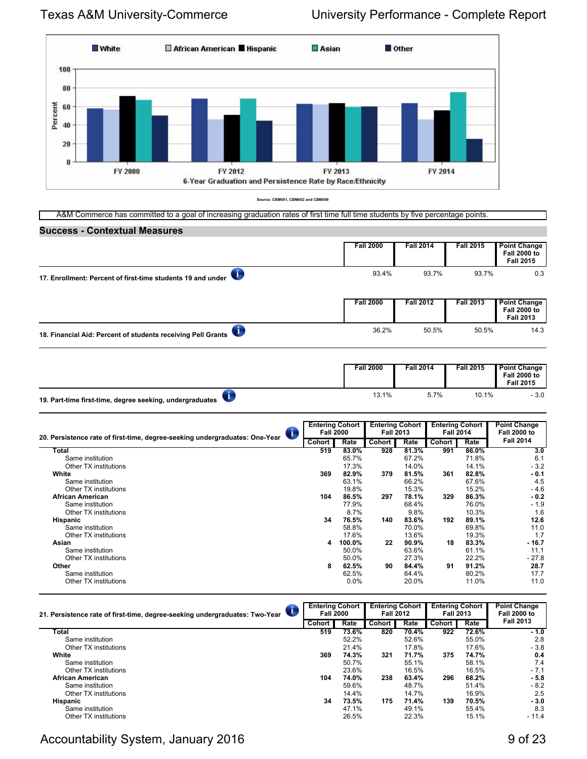**Success - Contextual Measures**



**Source: CBM001, CBM002 and CBM009**

A&M Commerce has committed to a goal of increasing graduation rates of first time full time students by five percentage points.

| uuuuu<br><b>PONTRATURE INCROATED</b>                         |                  |                  |                  |                                                                |
|--------------------------------------------------------------|------------------|------------------|------------------|----------------------------------------------------------------|
|                                                              | <b>Fall 2000</b> | <b>Fall 2014</b> | <b>Fall 2015</b> | <b>Point Change</b><br><b>Fall 2000 to</b><br><b>Fall 2015</b> |
| 17. Enrollment: Percent of first-time students 19 and under  | 93.4%            | 93.7%            | 93.7%            | 0.3                                                            |
|                                                              | <b>Fall 2000</b> | <b>Fall 2012</b> | <b>Fall 2013</b> | <b>Point Change</b><br><b>Fall 2000 to</b><br><b>Fall 2013</b> |
| 18. Financial Aid: Percent of students receiving Pell Grants | 36.2%            | 50.5%            | 50.5%            | 14.3                                                           |
|                                                              | <b>Fall 2000</b> | <b>Fall 2014</b> | <b>Fall 2015</b> | <b>Point Change</b><br><b>Fall 2000 to</b><br><b>Fall 2015</b> |
| 19. Part-time first-time, degree seeking, undergraduates     | 13.1%            | 5.7%             | 10.1%            | $-3.0$                                                         |

| 20. Persistence rate of first-time, degree-seeking undergraduates: One-Year |  | <b>Entering Cohort</b><br><b>Fall 2000</b> |         | <b>Entering Cohort</b><br><b>Fall 2013</b> |       | <b>Entering Cohort</b><br><b>Fall 2014</b> |       | <b>Point Change</b><br><b>Fall 2000 to</b> |
|-----------------------------------------------------------------------------|--|--------------------------------------------|---------|--------------------------------------------|-------|--------------------------------------------|-------|--------------------------------------------|
|                                                                             |  | Cohort                                     | Rate    | Cohort                                     | Rate  | Cohort                                     | Rate  | <b>Fall 2014</b>                           |
| Total                                                                       |  | 519                                        | 83.0%   | 928                                        | 81.3% | 991                                        | 86.0% | 3.0                                        |
| Same institution                                                            |  |                                            | 65.7%   |                                            | 67.2% |                                            | 71.8% | 6.1                                        |
| Other TX institutions                                                       |  |                                            | 17.3%   |                                            | 14.0% |                                            | 14.1% | $-3.2$                                     |
| White                                                                       |  | 369                                        | 82.9%   | 379                                        | 81.5% | 361                                        | 82.8% | $-0.1$                                     |
| Same institution                                                            |  |                                            | 63.1%   |                                            | 66.2% |                                            | 67.6% | 4.5                                        |
| Other TX institutions                                                       |  |                                            | 19.8%   |                                            | 15.3% |                                            | 15.2% | $-4.6$                                     |
| <b>African American</b>                                                     |  | 104                                        | 86.5%   | 297                                        | 78.1% | 329                                        | 86.3% | $-0.2$                                     |
| Same institution                                                            |  |                                            | 77.9%   |                                            | 68.4% |                                            | 76.0% | $-1.9$                                     |
| Other TX institutions                                                       |  |                                            | 8.7%    |                                            | 9.8%  |                                            | 10.3% | 1.6                                        |
| Hispanic                                                                    |  | 34                                         | 76.5%   | 140                                        | 83.6% | 192                                        | 89.1% | 12.6                                       |
| Same institution                                                            |  |                                            | 58.8%   |                                            | 70.0% |                                            | 69.8% | 11.0                                       |
| Other TX institutions                                                       |  |                                            | 17.6%   |                                            | 13.6% |                                            | 19.3% | 1.7                                        |
| Asian                                                                       |  | 4                                          | 100.0%  | 22                                         | 90.9% | 18                                         | 83.3% | $-16.7$                                    |
| Same institution                                                            |  |                                            | 50.0%   |                                            | 63.6% |                                            | 61.1% | 11.1                                       |
| Other TX institutions                                                       |  |                                            | 50.0%   |                                            | 27.3% |                                            | 22.2% | $-27.8$                                    |
| Other                                                                       |  | 8                                          | 62.5%   | 90                                         | 84.4% | 91                                         | 91.2% | 28.7                                       |
| Same institution                                                            |  |                                            | 62.5%   |                                            | 64.4% |                                            | 80.2% | 17.7                                       |
| Other TX institutions                                                       |  |                                            | $0.0\%$ |                                            | 20.0% |                                            | 11.0% | 11.0                                       |

| 21. Persistence rate of first-time, degree-seeking undergraduates: Two-Year | <b>Entering Cohort</b><br><b>Fall 2000</b> |       | <b>Entering Cohort</b><br><b>Fall 2012</b> |       | <b>Entering Cohort</b><br><b>Fall 2013</b> |       | <b>Point Change</b><br><b>Fall 2000 to</b> |
|-----------------------------------------------------------------------------|--------------------------------------------|-------|--------------------------------------------|-------|--------------------------------------------|-------|--------------------------------------------|
|                                                                             | <b>Cohort</b>                              | Rate  | <b>Cohort</b>                              | Rate  | Cohort                                     | Rate  | <b>Fall 2013</b>                           |
| Total                                                                       | 519                                        | 73.6% | 820                                        | 70.4% | 922                                        | 72.6% | $-1.0$                                     |
| Same institution                                                            |                                            | 52.2% |                                            | 52.6% |                                            | 55.0% | 2.8                                        |
| Other TX institutions                                                       |                                            | 21.4% |                                            | 17.8% |                                            | 17.6% | $-3.8$                                     |
| White                                                                       | 369                                        | 74.3% | 321                                        | 71.7% | 375                                        | 74.7% | 0.4                                        |
| Same institution                                                            |                                            | 50.7% |                                            | 55.1% |                                            | 58.1% | 7.4                                        |
| Other TX institutions                                                       |                                            | 23.6% |                                            | 16.5% |                                            | 16.5% | $-7.1$                                     |
| <b>African American</b>                                                     | 104                                        | 74.0% | 238                                        | 63.4% | 296                                        | 68.2% | $-5.8$                                     |
| Same institution                                                            |                                            | 59.6% |                                            | 48.7% |                                            | 51.4% | $-8.2$                                     |
| Other TX institutions                                                       |                                            | 14.4% |                                            | 14.7% |                                            | 16.9% | 2.5                                        |
| <b>Hispanic</b>                                                             | 34                                         | 73.5% | 175                                        | 71.4% | 139                                        | 70.5% | $-3.0$                                     |
| Same institution                                                            |                                            | 47.1% |                                            | 49.1% |                                            | 55.4% | 8.3                                        |
| Other TX institutions                                                       |                                            | 26.5% |                                            | 22.3% |                                            | 15.1% | $-11.4$                                    |

## Accountability System, January 2016 **9 of 23** and 23 and 23 and 23 and 23 and 23 and 23 and 23 and 23 and 23 and 23 and 23 and 23 and 23 and 23 and 23 and 23 and 23 and 23 and 23 and 23 and 23 and 22 and 22 and 22 and 22 a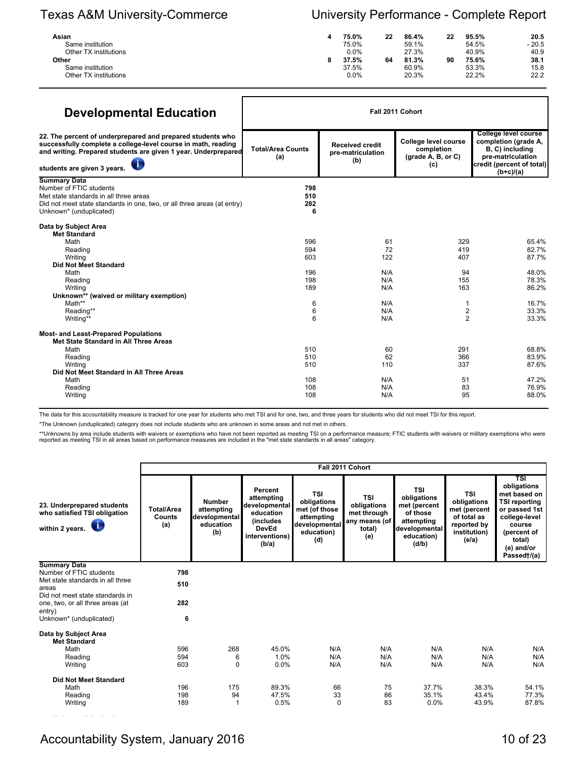## Texas A&M University-Commerce University Performance - Complete Report

| Asian                 | 75.0%   | 22 | 86.4% | 22 | 95.5% | 20.5    |
|-----------------------|---------|----|-------|----|-------|---------|
| Same institution      | 75.0%   |    | 59.1% |    | 54.5% | $-20.5$ |
| Other TX institutions | 0.0%    |    | 27.3% |    | 40.9% | 40.9    |
| Other                 | 37.5%   | 64 | 81.3% | 90 | 75.6% | 38.1    |
| Same institution      | 37.5%   |    | 60.9% |    | 53.3% | 15.8    |
| Other TX institutions | $0.0\%$ |    | 20.3% |    | 22.2% | 22.2    |

| <b>Developmental Education</b>                                                                                                                                                                                               |                                                       |                                                           | Fall 2011 Cohort                                                                        |                                                                                                                                         |  |
|------------------------------------------------------------------------------------------------------------------------------------------------------------------------------------------------------------------------------|-------------------------------------------------------|-----------------------------------------------------------|-----------------------------------------------------------------------------------------|-----------------------------------------------------------------------------------------------------------------------------------------|--|
| 22. The percent of underprepared and prepared students who<br>successfully complete a college-level course in math, reading<br>and writing. Prepared students are given 1 year. Underprepared<br>students are given 3 years. | <b>Total/Area Counts</b><br>(a)                       | <b>Received credit</b><br>pre-matriculation<br>(b)        | College level course<br>completion<br>$(grade A, B, or C)$<br>(c)                       | <b>College level course</b><br>completion (grade A,<br>B, C) including<br>pre-matriculation<br>credit (percent of total)<br>$(b+c)/(a)$ |  |
| <b>Summary Data</b><br>Number of FTIC students<br>Met state standards in all three areas<br>Did not meet state standards in one, two, or all three areas (at entry)<br>Unknown* (unduplicated)                               | 798<br>510<br>282<br>6                                |                                                           |                                                                                         |                                                                                                                                         |  |
| Data by Subject Area<br><b>Met Standard</b><br>Math<br>Reading<br>Writing<br><b>Did Not Meet Standard</b><br>Math<br>Reading<br>Writing<br>Unknown** (waived or military exemption)<br>Math**<br>Reading**<br>Writing**      | 596<br>594<br>603<br>196<br>198<br>189<br>6<br>6<br>6 | 61<br>72<br>122<br>N/A<br>N/A<br>N/A<br>N/A<br>N/A<br>N/A | 329<br>419<br>407<br>94<br>155<br>163<br>1<br>$\overline{\mathbf{c}}$<br>$\overline{2}$ | 65.4%<br>82.7%<br>87.7%<br>48.0%<br>78.3%<br>86.2%<br>16.7%<br>33.3%<br>33.3%                                                           |  |
| <b>Most- and Least-Prepared Populations</b><br>Met State Standard in All Three Areas<br>Math<br>Reading<br>Writing<br>Did Not Meet Standard in All Three Areas<br>Math<br>Reading<br>Writing                                 | 510<br>510<br>510<br>108<br>108<br>108                | 60<br>62<br>110<br>N/A<br>N/A<br>N/A                      | 291<br>366<br>337<br>51<br>83<br>95                                                     | 68.8%<br>83.9%<br>87.6%<br>47.2%<br>76.9%<br>88.0%                                                                                      |  |

The data for this accountability measure is tracked for one year for students who met TSI and for one, two, and three years for students who did not meet TSI for this report.

\*The Unknown (unduplicated) category does not include students who are unknown in some areas and not met in others.

\*\*Unknowns by area include students with waivers or exemptions who have not been reported as meeting TSI on a performance measure; FTIC students with waivers or military exemptions who were<br>reported as meeting TSI in all a

|                                                                                          |                                    |                                                                  |                                                                                                                     |                                                                                                | Fall 2011 Cohort                                                    |                                                                                                             |                                                                                           |                                                                                                                                                              |
|------------------------------------------------------------------------------------------|------------------------------------|------------------------------------------------------------------|---------------------------------------------------------------------------------------------------------------------|------------------------------------------------------------------------------------------------|---------------------------------------------------------------------|-------------------------------------------------------------------------------------------------------------|-------------------------------------------------------------------------------------------|--------------------------------------------------------------------------------------------------------------------------------------------------------------|
| 23. Underprepared students<br>who satisfied TSI obligation<br>within 2 years. $\bigcirc$ | <b>Total/Area</b><br>Counts<br>(a) | <b>Number</b><br>attempting<br>developmental<br>education<br>(b) | Percent<br>attempting<br>developmental<br>education<br><i>(includes)</i><br><b>DevEd</b><br>interventions)<br>(b/a) | <b>TSI</b><br>obligations<br>met (of those<br>attempting<br>developmental<br>education)<br>(d) | TSI<br>obligations<br>met through<br>any means (of<br>total)<br>(e) | <b>TSI</b><br>obligations<br>met (percent<br>of those<br>attempting<br>developmental<br>education)<br>(d/b) | TSI<br>obligations<br>met (percent<br>of total as<br>reported by<br>institution)<br>(e/a) | TSI<br>obligations<br>met based on<br><b>TSI reporting</b><br>or passed 1st<br>college-level<br>course<br>(percent of<br>total)<br>(e) and/or<br>Passed†/(a) |
| <b>Summary Data</b>                                                                      |                                    |                                                                  |                                                                                                                     |                                                                                                |                                                                     |                                                                                                             |                                                                                           |                                                                                                                                                              |
| Number of FTIC students                                                                  | 798                                |                                                                  |                                                                                                                     |                                                                                                |                                                                     |                                                                                                             |                                                                                           |                                                                                                                                                              |
| Met state standards in all three                                                         | 510                                |                                                                  |                                                                                                                     |                                                                                                |                                                                     |                                                                                                             |                                                                                           |                                                                                                                                                              |
| areas<br>Did not meet state standards in                                                 |                                    |                                                                  |                                                                                                                     |                                                                                                |                                                                     |                                                                                                             |                                                                                           |                                                                                                                                                              |
|                                                                                          | 282                                |                                                                  |                                                                                                                     |                                                                                                |                                                                     |                                                                                                             |                                                                                           |                                                                                                                                                              |
| one, two, or all three areas (at                                                         |                                    |                                                                  |                                                                                                                     |                                                                                                |                                                                     |                                                                                                             |                                                                                           |                                                                                                                                                              |
| entry)<br>Unknown* (unduplicated)                                                        | 6                                  |                                                                  |                                                                                                                     |                                                                                                |                                                                     |                                                                                                             |                                                                                           |                                                                                                                                                              |
| Data by Subject Area<br><b>Met Standard</b>                                              |                                    |                                                                  |                                                                                                                     |                                                                                                |                                                                     |                                                                                                             |                                                                                           |                                                                                                                                                              |
| Math                                                                                     | 596                                | 268                                                              | 45.0%                                                                                                               | N/A                                                                                            | N/A                                                                 | N/A                                                                                                         | N/A                                                                                       | N/A                                                                                                                                                          |
| Reading                                                                                  | 594                                | 6                                                                | 1.0%                                                                                                                | N/A                                                                                            | N/A                                                                 | N/A                                                                                                         | N/A                                                                                       | N/A                                                                                                                                                          |
| Writing                                                                                  | 603                                | $\Omega$                                                         | 0.0%                                                                                                                | N/A                                                                                            | N/A                                                                 | N/A                                                                                                         | N/A                                                                                       | N/A                                                                                                                                                          |
| <b>Did Not Meet Standard</b>                                                             |                                    |                                                                  |                                                                                                                     |                                                                                                |                                                                     |                                                                                                             |                                                                                           |                                                                                                                                                              |
| Math                                                                                     | 196                                | 175                                                              | 89.3%                                                                                                               | 66                                                                                             | 75                                                                  | 37.7%                                                                                                       | 38.3%                                                                                     | 54.1%                                                                                                                                                        |
| Reading                                                                                  | 198                                | 94                                                               | 47.5%                                                                                                               | 33                                                                                             | 86                                                                  | 35.1%                                                                                                       | 43.4%                                                                                     | 77.3%                                                                                                                                                        |
| Writing                                                                                  | 189                                |                                                                  | 0.5%                                                                                                                | 0                                                                                              | 83                                                                  | 0.0%                                                                                                        | 43.9%                                                                                     | 87.8%                                                                                                                                                        |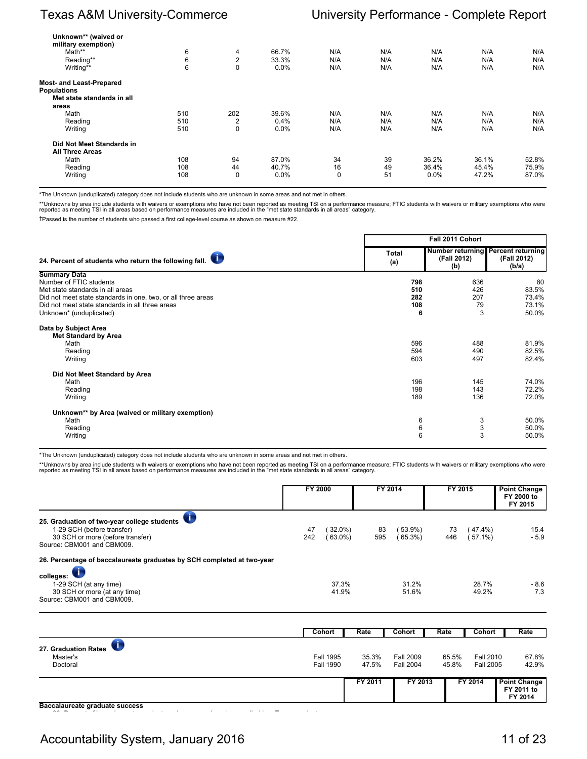| Unknown** (waived or            |     |                |       |     |     |         |       |       |
|---------------------------------|-----|----------------|-------|-----|-----|---------|-------|-------|
| military exemption)             |     |                |       |     |     |         |       |       |
| Math**                          | 6   | 4              | 66.7% | N/A | N/A | N/A     | N/A   | N/A   |
| Reading**                       | 6   | $\overline{2}$ | 33.3% | N/A | N/A | N/A     | N/A   | N/A   |
| Writing**                       | 6   | $\mathbf 0$    | 0.0%  | N/A | N/A | N/A     | N/A   | N/A   |
| <b>Most- and Least-Prepared</b> |     |                |       |     |     |         |       |       |
| <b>Populations</b>              |     |                |       |     |     |         |       |       |
| Met state standards in all      |     |                |       |     |     |         |       |       |
| areas                           |     |                |       |     |     |         |       |       |
| Math                            | 510 | 202            | 39.6% | N/A | N/A | N/A     | N/A   | N/A   |
| Reading                         | 510 | $\overline{2}$ | 0.4%  | N/A | N/A | N/A     | N/A   | N/A   |
| Writing                         | 510 | $\mathbf 0$    | 0.0%  | N/A | N/A | N/A     | N/A   | N/A   |
| Did Not Meet Standards in       |     |                |       |     |     |         |       |       |
| <b>All Three Areas</b>          |     |                |       |     |     |         |       |       |
| Math                            | 108 | 94             | 87.0% | 34  | 39  | 36.2%   | 36.1% | 52.8% |
| Reading                         | 108 | 44             | 40.7% | 16  | 49  | 36.4%   | 45.4% | 75.9% |
| Writing                         | 108 | 0              | 0.0%  | 0   | 51  | $0.0\%$ | 47.2% | 87.0% |
|                                 |     |                |       |     |     |         |       |       |

\*The Unknown (unduplicated) category does not include students who are unknown in some areas and not met in others.

\*\*Unknowns by area include students with waivers or exemptions who have not been reported as meeting TSI on a performance measure; FTIC students with waivers or military exemptions who were<br>reported as meeting TSI in all a

†Passed is the number of students who passed a first college-level course as shown on measure #22.

|                                                                                                                                                                                                                                  |                               | Fall 2011 Cohort             |                                                            |
|----------------------------------------------------------------------------------------------------------------------------------------------------------------------------------------------------------------------------------|-------------------------------|------------------------------|------------------------------------------------------------|
| 24. Percent of students who return the following fall.                                                                                                                                                                           | <b>Total</b><br>(a)           | (Fall 2012)<br>(b)           | Number returning Percent returning<br>(Fall 2012)<br>(b/a) |
| <b>Summary Data</b><br>Number of FTIC students<br>Met state standards in all areas<br>Did not meet state standards in one, two, or all three areas<br>Did not meet state standards in all three areas<br>Unknown* (unduplicated) | 798<br>510<br>282<br>108<br>6 | 636<br>426<br>207<br>79<br>3 | 80<br>83.5%<br>73.4%<br>73.1%<br>50.0%                     |
| Data by Subject Area<br><b>Met Standard by Area</b><br>Math<br>Reading<br>Writing                                                                                                                                                | 596<br>594<br>603             | 488<br>490<br>497            | 81.9%<br>82.5%<br>82.4%                                    |
| Did Not Meet Standard by Area<br>Math<br>Reading<br>Writing                                                                                                                                                                      | 196<br>198<br>189             | 145<br>143<br>136            | 74.0%<br>72.2%<br>72.0%                                    |
| Unknown** by Area (waived or military exemption)<br>Math<br>Reading<br>Writing                                                                                                                                                   | 6<br>6<br>6                   | 3<br>3<br>3                  | 50.0%<br>50.0%<br>50.0%                                    |

\*The Unknown (unduplicated) category does not include students who are unknown in some areas and not met in others.

\*\*Unknowns by area include students with waivers or exemptions who have not been reported as meeting TSI on a performance measure; FTIC students with waivers or military exemptions who were<br>reported as meeting TSI in all a

|                                                                                                                                                          | <b>FY 2000</b> |                      |           | FY 2014          | FY 2015   |                  | <b>Point Change</b><br>FY 2000 to<br>FY 2015 |
|----------------------------------------------------------------------------------------------------------------------------------------------------------|----------------|----------------------|-----------|------------------|-----------|------------------|----------------------------------------------|
| $\bullet$<br>25. Graduation of two-year college students<br>1-29 SCH (before transfer)<br>30 SCH or more (before transfer)<br>Source: CBM001 and CBM009. | 47<br>242      | $32.0\%$<br>$63.0\%$ | 83<br>595 | 53.9%)<br>65.3%  | 73<br>446 | 47.4%)<br>57.1%) | 15.4<br>$-5.9$                               |
| 26. Percentage of baccalaureate graduates by SCH completed at two-year                                                                                   |                |                      |           |                  |           |                  |                                              |
| colleges:                                                                                                                                                |                |                      |           |                  |           |                  |                                              |
| 1-29 SCH (at any time)                                                                                                                                   |                | 37.3%                |           | 31.2%            |           | 28.7%            | - 8.6                                        |
| 30 SCH or more (at any time)<br>Source: CBM001 and CBM009.                                                                                               |                | 41.9%                |           | 51.6%            |           | 49.2%            | 7.3                                          |
|                                                                                                                                                          |                |                      |           |                  |           |                  |                                              |
|                                                                                                                                                          |                | <b>Cohort</b>        | Rate      | <b>Cohort</b>    | Rate      | <b>Cohort</b>    | Rate                                         |
| 27. Graduation Rates                                                                                                                                     |                |                      |           |                  |           |                  |                                              |
| Master's                                                                                                                                                 |                | <b>Fall 1995</b>     | 35.3%     | <b>Fall 2009</b> | 65.5%     | <b>Fall 2010</b> | 67.8%                                        |
| Doctoral                                                                                                                                                 |                | <b>Fall 1990</b>     | 47.5%     | <b>Fall 2004</b> | 45.8%     | <b>Fall 2005</b> | 42.9%                                        |

**Baccalaureate graduate success** 

Accountability System, January 2016 11 of 23

28. Percent of baccalaureate graduates who are employed or enrolled in a Texas graduate

**FY 2011 to FY 2014**

**FY 2011 FY 2013 FY 2014 Point Change**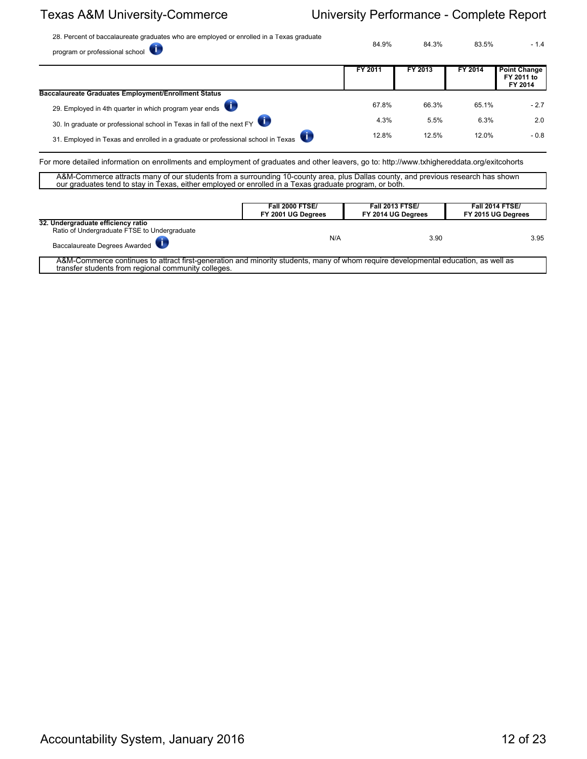28. Percent of baccalaureate graduates who are employed or enrolled in a Texas graduate program or professional school 84.9% 84.3% 83.5% - 1.4

|                                                                                  | FY 2011 | FY 2013 | FY 2014 | <b>Point Change</b><br>FY 2011 to<br>FY 2014 |
|----------------------------------------------------------------------------------|---------|---------|---------|----------------------------------------------|
| <b>Baccalaureate Graduates Employment/Enrollment Status</b>                      |         |         |         |                                              |
| 29. Employed in 4th quarter in which program year ends                           | 67.8%   | 66.3%   | 65.1%   | $-2.7$                                       |
| 30. In graduate or professional school in Texas in fall of the next FY           | 4.3%    | 5.5%    | 6.3%    | 2.0                                          |
| 31. Employed in Texas and enrolled in a graduate or professional school in Texas | 12.8%   | 12.5%   | 12.0%   | $-0.8$                                       |

For more detailed information on enrollments and employment of graduates and other leavers, go to: http://www.txhighereddata.org/exitcohorts

A&M-Commerce attracts many of our students from a surrounding 10-county area, plus Dallas county, and previous research has shown our graduates tend to stay in Texas, either employed or enrolled in a Texas graduate program, or both.

|                                                                                                                                                                                           | <b>Fall 2000 FTSE/</b><br>FY 2001 UG Degrees | <b>Fall 2013 FTSE/</b><br>FY 2014 UG Degrees | <b>Fall 2014 FTSE/</b><br>FY 2015 UG Degrees |
|-------------------------------------------------------------------------------------------------------------------------------------------------------------------------------------------|----------------------------------------------|----------------------------------------------|----------------------------------------------|
| 32. Undergraduate efficiency ratio<br>Ratio of Undergraduate FTSE to Undergraduate<br>Baccalaureate Degrees Awarded                                                                       | N/A                                          | 3.90                                         | 3.95                                         |
| A&M-Commerce continues to attract first-generation and minority students, many of whom require developmental education, as well as<br>transfer students from regional community colleges. |                                              |                                              |                                              |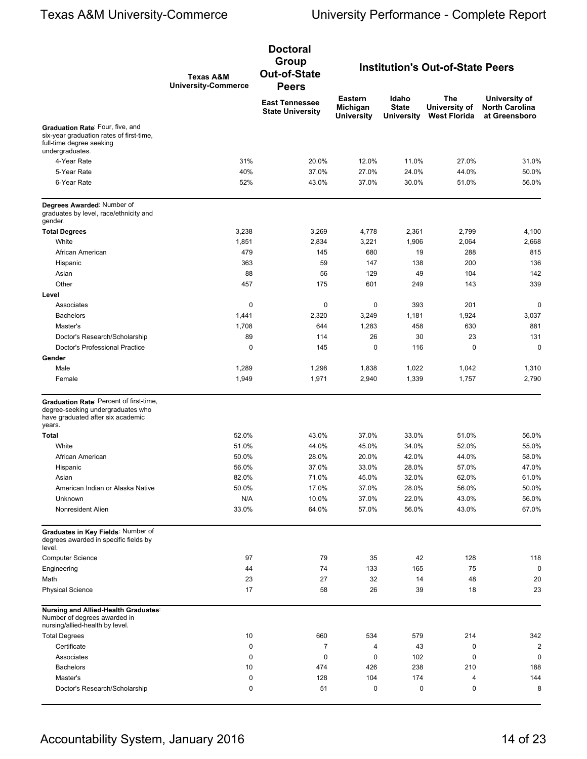|                                                                                                                             | <b>Texas A&amp;M</b><br><b>University-Commerce</b> | <b>Doctoral</b><br>Group<br><b>Out-of-State</b><br><b>Peers</b> | <b>Institution's Out-of-State Peers</b>         |                                            |                                             |                                                         |
|-----------------------------------------------------------------------------------------------------------------------------|----------------------------------------------------|-----------------------------------------------------------------|-------------------------------------------------|--------------------------------------------|---------------------------------------------|---------------------------------------------------------|
|                                                                                                                             |                                                    | <b>East Tennessee</b><br><b>State University</b>                | <b>Eastern</b><br>Michigan<br><b>University</b> | Idaho<br><b>State</b><br><b>University</b> | The<br>University of<br><b>West Florida</b> | University of<br><b>North Carolina</b><br>at Greensboro |
| Graduation Rate: Four, five, and<br>six-year graduation rates of first-time,<br>full-time degree seeking<br>undergraduates. |                                                    |                                                                 |                                                 |                                            |                                             |                                                         |
| 4-Year Rate                                                                                                                 | 31%                                                | 20.0%                                                           | 12.0%                                           | 11.0%                                      | 27.0%                                       | 31.0%                                                   |
| 5-Year Rate                                                                                                                 | 40%                                                | 37.0%                                                           | 27.0%                                           | 24.0%                                      | 44.0%                                       | 50.0%                                                   |
| 6-Year Rate                                                                                                                 | 52%                                                | 43.0%                                                           | 37.0%                                           | 30.0%                                      | 51.0%                                       | 56.0%                                                   |
| Degrees Awarded: Number of<br>graduates by level, race/ethnicity and<br>gender.                                             |                                                    |                                                                 |                                                 |                                            |                                             |                                                         |
| <b>Total Degrees</b>                                                                                                        | 3,238                                              | 3,269                                                           | 4,778                                           | 2,361                                      | 2,799                                       | 4,100                                                   |
| White                                                                                                                       | 1,851                                              | 2,834                                                           | 3,221                                           | 1,906                                      | 2,064                                       | 2,668                                                   |
| African American                                                                                                            | 479                                                | 145                                                             | 680                                             | 19                                         | 288                                         | 815                                                     |
| Hispanic                                                                                                                    | 363                                                | 59                                                              | 147                                             | 138                                        | 200                                         | 136                                                     |
| Asian                                                                                                                       | 88                                                 | 56                                                              | 129                                             | 49                                         | 104                                         | 142                                                     |
| Other                                                                                                                       | 457                                                | 175                                                             | 601                                             | 249                                        | 143                                         | 339                                                     |
| Level                                                                                                                       |                                                    |                                                                 |                                                 |                                            |                                             |                                                         |
| Associates                                                                                                                  | 0                                                  | 0                                                               | 0                                               | 393                                        | 201                                         | 0                                                       |
| <b>Bachelors</b>                                                                                                            | 1,441                                              | 2,320                                                           | 3,249                                           | 1,181                                      | 1,924                                       | 3,037                                                   |
| Master's                                                                                                                    | 1,708                                              | 644                                                             | 1,283                                           | 458                                        | 630                                         | 881                                                     |
| Doctor's Research/Scholarship<br>Doctor's Professional Practice                                                             | 89<br>$\mathbf 0$                                  | 114<br>145                                                      | 26<br>0                                         | 30<br>116                                  | 23<br>$\mathbf 0$                           | 131<br>$\mathbf 0$                                      |
| Gender                                                                                                                      |                                                    |                                                                 |                                                 |                                            |                                             |                                                         |
| Male                                                                                                                        | 1,289                                              | 1,298                                                           | 1,838                                           | 1,022                                      | 1,042                                       | 1,310                                                   |
| Female                                                                                                                      | 1,949                                              | 1,971                                                           | 2,940                                           | 1,339                                      | 1,757                                       | 2,790                                                   |
| Graduation Rate: Percent of first-time,<br>degree-seeking undergraduates who<br>have graduated after six academic<br>years. |                                                    |                                                                 |                                                 |                                            |                                             |                                                         |
| Total                                                                                                                       | 52.0%                                              | 43.0%                                                           | 37.0%                                           | 33.0%                                      | 51.0%                                       | 56.0%                                                   |
| White                                                                                                                       | 51.0%                                              | 44.0%                                                           | 45.0%                                           | 34.0%                                      | 52.0%                                       | 55.0%                                                   |
| African American                                                                                                            | 50.0%                                              | 28.0%                                                           | 20.0%                                           | 42.0%                                      | 44.0%                                       | 58.0%                                                   |
| Hispanic                                                                                                                    | 56.0%                                              | 37.0%                                                           | 33.0%                                           | 28.0%                                      | 57.0%                                       | 47.0%                                                   |
| Asian                                                                                                                       | 82.0%                                              | 71.0%                                                           | 45.0%                                           | 32.0%                                      | 62.0%                                       | 61.0%                                                   |
| American Indian or Alaska Native                                                                                            | 50.0%                                              | 17.0%                                                           | 37.0%                                           | 28.0%                                      | 56.0%                                       | 50.0%                                                   |
| Unknown                                                                                                                     | N/A                                                | 10.0%                                                           | 37.0%                                           | 22.0%                                      | 43.0%                                       | 56.0%                                                   |
| Nonresident Alien                                                                                                           | 33.0%                                              | 64.0%                                                           | 57.0%                                           | 56.0%                                      | 43.0%                                       | 67.0%                                                   |
| Graduates in Key Fields: Number of<br>degrees awarded in specific fields by<br>level.                                       |                                                    |                                                                 |                                                 |                                            |                                             |                                                         |
| <b>Computer Science</b>                                                                                                     | 97                                                 | 79                                                              | 35                                              | 42                                         | 128                                         | 118                                                     |
| Engineering                                                                                                                 | 44                                                 | 74                                                              | 133                                             | 165                                        | 75                                          | $\mathbf 0$                                             |
| Math                                                                                                                        | 23                                                 | 27                                                              | 32                                              | 14                                         | 48                                          | 20                                                      |
| <b>Physical Science</b>                                                                                                     | 17                                                 | 58                                                              | 26                                              | 39                                         | 18                                          | 23                                                      |
| Nursing and Allied-Health Graduates:<br>Number of degrees awarded in<br>nursing/allied-health by level.                     |                                                    |                                                                 |                                                 |                                            |                                             |                                                         |
| <b>Total Degrees</b>                                                                                                        | 10                                                 | 660                                                             | 534                                             | 579                                        | 214                                         | 342                                                     |
| Certificate                                                                                                                 | 0                                                  | 7                                                               | 4                                               | 43                                         | 0                                           | $\overline{c}$                                          |
| Associates                                                                                                                  | 0                                                  | 0                                                               | 0                                               | 102                                        | 0                                           | $\mathbf 0$                                             |
| <b>Bachelors</b>                                                                                                            | 10                                                 | 474                                                             | 426                                             | 238                                        | 210                                         | 188                                                     |
| Master's                                                                                                                    | 0                                                  | 128                                                             | 104                                             | 174                                        | 4                                           | 144                                                     |
| Doctor's Research/Scholarship                                                                                               | 0                                                  | 51                                                              | 0                                               | 0                                          | 0                                           | 8                                                       |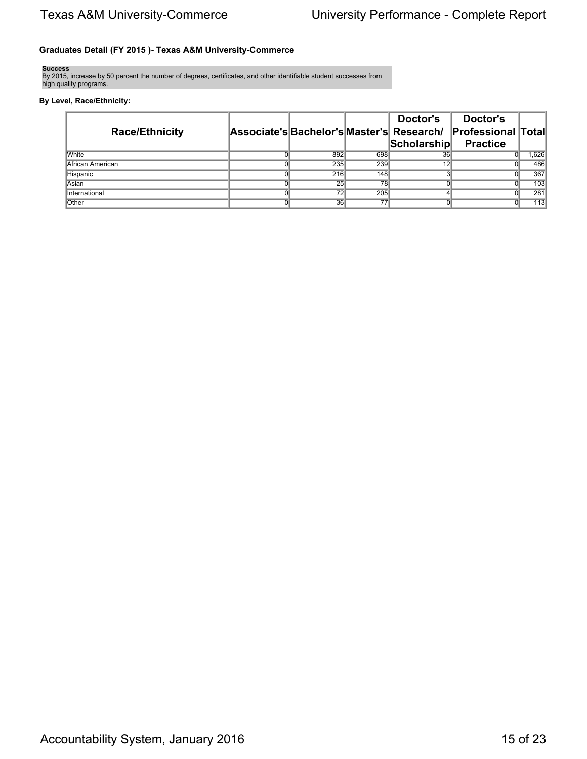## **Graduates Detail (FY 2015 )- Texas A&M University-Commerce**

**Success**

By 2015, increase by 50 percent the number of degrees, certificates, and other identifiable student successes from high quality programs.

## **By Level, Race/Ethnicity:**

| <b>Race/Ethnicity</b> |                 |                 | Doctor's    | Doctor's<br>Associate's Bachelor's Master's Research/ Professional Total |       |
|-----------------------|-----------------|-----------------|-------------|--------------------------------------------------------------------------|-------|
|                       |                 |                 | Scholarship | <b>Practice</b>                                                          |       |
| <b>White</b>          | 892             | 698             | 36          |                                                                          | 1,626 |
| African American      | 235             | 239             |             |                                                                          | 486   |
| Hispanic              | 216             | 148             |             |                                                                          | 367   |
| Asian                 | 25              | 78              |             |                                                                          | 103   |
| International         | $\overline{72}$ | 205             |             |                                                                          | 281   |
| Other                 | 36              | $\overline{77}$ |             |                                                                          | 113   |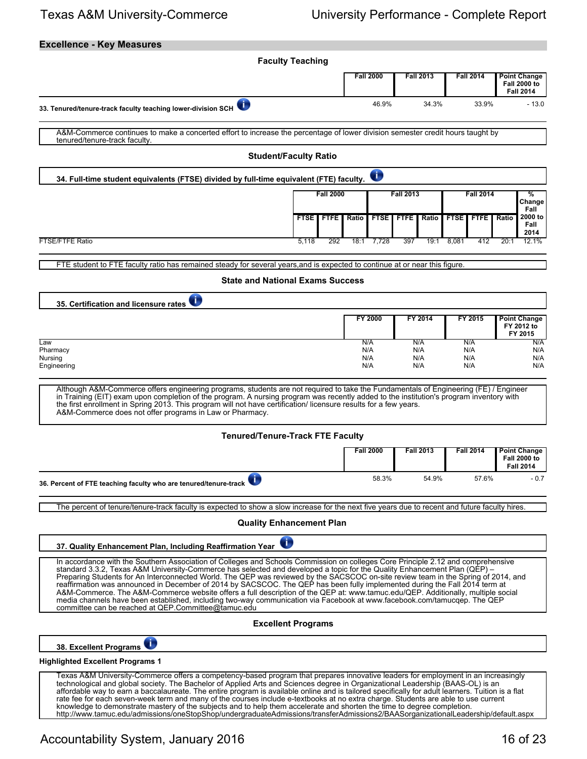| <b>Excellence - Key Measures</b>                                                                                                                                                                                                                                                                                                                                                                                                                                                                                                                                                                                                                                                                                                                                                                                                                          |                      |                      |                            |                                                                |
|-----------------------------------------------------------------------------------------------------------------------------------------------------------------------------------------------------------------------------------------------------------------------------------------------------------------------------------------------------------------------------------------------------------------------------------------------------------------------------------------------------------------------------------------------------------------------------------------------------------------------------------------------------------------------------------------------------------------------------------------------------------------------------------------------------------------------------------------------------------|----------------------|----------------------|----------------------------|----------------------------------------------------------------|
| <b>Faculty Teaching</b>                                                                                                                                                                                                                                                                                                                                                                                                                                                                                                                                                                                                                                                                                                                                                                                                                                   |                      |                      |                            |                                                                |
|                                                                                                                                                                                                                                                                                                                                                                                                                                                                                                                                                                                                                                                                                                                                                                                                                                                           | <b>Fall 2000</b>     | <b>Fall 2013</b>     | <b>Fall 2014</b>           | <b>Point Change</b><br><b>Fall 2000 to</b><br><b>Fall 2014</b> |
| 33. Tenured/tenure-track faculty teaching lower-division SCH                                                                                                                                                                                                                                                                                                                                                                                                                                                                                                                                                                                                                                                                                                                                                                                              | 46.9%                | 34.3%                | 33.9%                      | $-13.0$                                                        |
| A&M-Commerce continues to make a concerted effort to increase the percentage of lower division semester credit hours taught by<br>tenured/tenure-track faculty.                                                                                                                                                                                                                                                                                                                                                                                                                                                                                                                                                                                                                                                                                           |                      |                      |                            |                                                                |
| <b>Student/Faculty Ratio</b>                                                                                                                                                                                                                                                                                                                                                                                                                                                                                                                                                                                                                                                                                                                                                                                                                              |                      |                      |                            |                                                                |
| 34. Full-time student equivalents (FTSE) divided by full-time equivalent (FTE) faculty.                                                                                                                                                                                                                                                                                                                                                                                                                                                                                                                                                                                                                                                                                                                                                                   | $\bullet$            |                      |                            |                                                                |
| <b>Fall 2000</b>                                                                                                                                                                                                                                                                                                                                                                                                                                                                                                                                                                                                                                                                                                                                                                                                                                          |                      | <b>Fall 2013</b>     | <b>Fall 2014</b>           | %<br>Change                                                    |
| <b>FTSE   FTFE</b>                                                                                                                                                                                                                                                                                                                                                                                                                                                                                                                                                                                                                                                                                                                                                                                                                                        | Ratio<br><b>FTSE</b> | <b>FTFE</b><br>Ratio | <b>FTSE</b><br><b>FTFE</b> | Fall<br>2000 to<br>Ratio<br>Fall<br>2014                       |
| <b>FTSE/FTFE Ratio</b><br>5,118<br>292                                                                                                                                                                                                                                                                                                                                                                                                                                                                                                                                                                                                                                                                                                                                                                                                                    | 7,728<br>18:1        | 397<br>19:1          | 8,081<br>412               | 20:1<br>12.1%                                                  |
| FTE student to FTE faculty ratio has remained steady for several years, and is expected to continue at or near this figure.                                                                                                                                                                                                                                                                                                                                                                                                                                                                                                                                                                                                                                                                                                                               |                      |                      |                            |                                                                |
| <b>State and National Exams Success</b>                                                                                                                                                                                                                                                                                                                                                                                                                                                                                                                                                                                                                                                                                                                                                                                                                   |                      |                      |                            |                                                                |
| ī.<br>35. Certification and licensure rates                                                                                                                                                                                                                                                                                                                                                                                                                                                                                                                                                                                                                                                                                                                                                                                                               |                      |                      |                            |                                                                |
|                                                                                                                                                                                                                                                                                                                                                                                                                                                                                                                                                                                                                                                                                                                                                                                                                                                           | FY 2000              | FY 2014              | FY 2015                    | <b>Point Change</b><br>FY 2012 to<br>FY 2015                   |
| Law<br>Pharmacy                                                                                                                                                                                                                                                                                                                                                                                                                                                                                                                                                                                                                                                                                                                                                                                                                                           | N/A<br>N/A           | N/A<br>N/A           | N/A<br>N/A                 | N/A<br>N/A                                                     |
| Nursing<br>Engineering                                                                                                                                                                                                                                                                                                                                                                                                                                                                                                                                                                                                                                                                                                                                                                                                                                    | N/A<br>N/A           | N/A<br>N/A           | N/A<br>N/A                 | N/A<br>N/A                                                     |
| Although A&M-Commerce offers engineering programs, students are not required to take the Fundamentals of Engineering (FE) / Engineer<br>in Training (EIT) exam upon completion of the program. A nursing program was recently added to the institution's program inventory with<br>the first enrollment in Spring 2013. This program will not have certification/licensure results for a few years.<br>A&M-Commerce does not offer programs in Law or Pharmacy.<br><b>Tenured/Tenure-Track FTE Faculty</b>                                                                                                                                                                                                                                                                                                                                                |                      |                      |                            |                                                                |
|                                                                                                                                                                                                                                                                                                                                                                                                                                                                                                                                                                                                                                                                                                                                                                                                                                                           | <b>Fall 2000</b>     | <b>Fall 2013</b>     | <b>Fall 2014</b>           | <b>Point Change</b>                                            |
|                                                                                                                                                                                                                                                                                                                                                                                                                                                                                                                                                                                                                                                                                                                                                                                                                                                           |                      |                      |                            | <b>Fall 2000 to</b><br><b>Fall 2014</b>                        |
| 36. Percent of FTE teaching faculty who are tenured/tenure-track                                                                                                                                                                                                                                                                                                                                                                                                                                                                                                                                                                                                                                                                                                                                                                                          | 58.3%                | 54.9%                | 57.6%                      | $-0.7$                                                         |
| The percent of tenure/tenure-track faculty is expected to show a slow increase for the next five years due to recent and future faculty hires.                                                                                                                                                                                                                                                                                                                                                                                                                                                                                                                                                                                                                                                                                                            |                      |                      |                            |                                                                |
| <b>Quality Enhancement Plan</b>                                                                                                                                                                                                                                                                                                                                                                                                                                                                                                                                                                                                                                                                                                                                                                                                                           |                      |                      |                            |                                                                |
| 37. Quality Enhancement Plan, Including Reaffirmation Year                                                                                                                                                                                                                                                                                                                                                                                                                                                                                                                                                                                                                                                                                                                                                                                                |                      |                      |                            |                                                                |
| In accordance with the Southern Association of Colleges and Schools Commission on colleges Core Principle 2.12 and comprehensive<br>standard 3.3.2. Texas A&M University-Commerce has selected and developed a topic for the Quality Enhancement Plan (QEP) –<br>Preparing Students for An Interconnected World. The QEP was reviewed by the SACSCOC on-site review team in the Spring of 2014, and<br>reaffirmation was announced in December of 2014 by SACSCOC. The QEP has been fully implemented during the Fall 2014 term at<br>A&M-Commerce. The A&M-Commerce website offers a full description of the QEP at: www.tamuc.edu/QEP. Additionally, multiple social<br>media channels have been established, including two-way communication via Facebook at www.facebook.com/tamucqep. The QEP<br>committee can be reached at QEP.Committee@tamuc.edu |                      |                      |                            |                                                                |
| <b>Excellent Programs</b>                                                                                                                                                                                                                                                                                                                                                                                                                                                                                                                                                                                                                                                                                                                                                                                                                                 |                      |                      |                            |                                                                |
| 38. Excellent Programs                                                                                                                                                                                                                                                                                                                                                                                                                                                                                                                                                                                                                                                                                                                                                                                                                                    |                      |                      |                            |                                                                |
| <b>Highlighted Excellent Programs 1</b>                                                                                                                                                                                                                                                                                                                                                                                                                                                                                                                                                                                                                                                                                                                                                                                                                   |                      |                      |                            |                                                                |
| Texas A&M University-Commerce offers a competency-based program that prepares innovative leaders for employment in an increasingly<br>technological and global society. The Bachelor of Applied Arts and Sciences degree in Organizational Leadership (BAAS-OL) is an<br>affordable way to earn a baccalaureate. The entire program is available online and is tailored specifically for adult learners. Tuition is a flat<br>rate fee for each seven-week term and many of the courses include e-textbooks at no extra charge. Students are able to use current<br>knowledge to demonstrate mastery of the subjects and to help them accelerate and shorten the time to degree completion.                                                                                                                                                               |                      |                      |                            |                                                                |

http://www.tamuc.edu/admissions/oneStopShop/undergraduateAdmissions/transferAdmissions2/BAASorganizationalLeadership/default.aspx

Accountability System, January 2016 16 of 23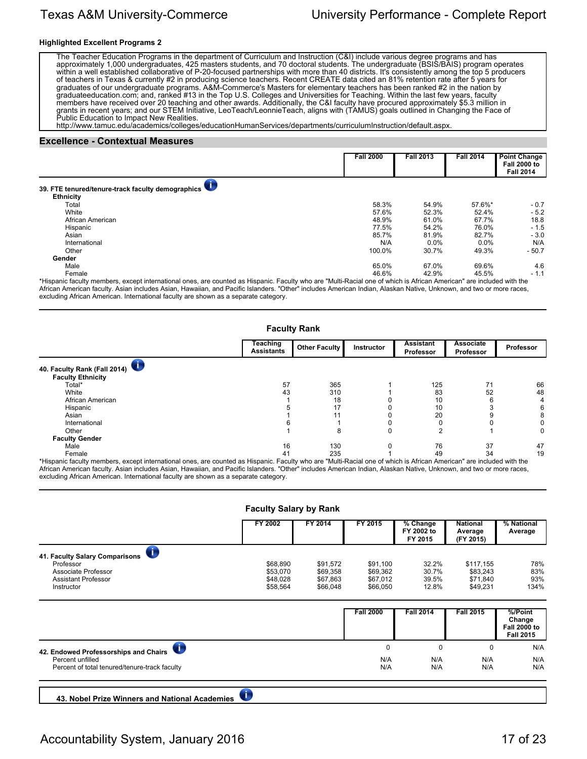### **Highlighted Excellent Programs 2**

The Teacher Education Programs in the department of Curriculum and Instruction (C&I) include various degree programs and has approximately 1,000 undergraduates, 425 masters students, and 70 doctoral students. The undergraduate (BSIS/BAIS) program operates within a well established collaborative of P-20-focused partnerships with more than 40 districts. It's consistently among the top 5 producers of teachers in Texas & currently #2 in producing science teachers. Recent CREATE data cited an 81% retention rate after 5 years for graduates of our undergraduate programs. A&M-Commerce's Masters for elementary teachers has been ranked #2 in the nation by graduateeducation.com; and, ranked #13 in the Top U.S. Colleges and Universities for Teaching. Within the last few years, faculty members have received over 20 teaching and other awards. Additionally, the C&I faculty have procured approximately \$5.3 million in grants in recent years; and our STEM Initiative, LeoTeach/LeonnieTeach, aligns with (TAMUS) goals outlined in Changing the Face of Public Education to Impact New Realities.

http://www.tamuc.edu/academics/colleges/educationHumanServices/departments/curriculumInstruction/default.aspx.

#### **Excellence - Contextual Measures**

|                                                   | <b>Fall 2000</b> | <b>Fall 2013</b> | <b>Fall 2014</b> | <b>Point Change</b><br><b>Fall 2000 to</b><br><b>Fall 2014</b> |
|---------------------------------------------------|------------------|------------------|------------------|----------------------------------------------------------------|
| 39. FTE tenured/tenure-track faculty demographics |                  |                  |                  |                                                                |
| <b>Ethnicity</b>                                  |                  |                  |                  |                                                                |
| Total                                             | 58.3%            | 54.9%            | 57.6%*           | $-0.7$                                                         |
| White                                             | 57.6%            | 52.3%            | 52.4%            | $-5.2$                                                         |
| African American                                  | 48.9%            | 61.0%            | 67.7%            | 18.8                                                           |
| Hispanic                                          | 77.5%            | 54.2%            | 76.0%            | $-1.5$                                                         |
| Asian                                             | 85.7%            | 81.9%            | 82.7%            | $-3.0$                                                         |
| International                                     | N/A              | 0.0%             | 0.0%             | N/A                                                            |
| Other                                             | 100.0%           | 30.7%            | 49.3%            | $-50.7$                                                        |
| Gender                                            |                  |                  |                  |                                                                |
| Male                                              | 65.0%            | 67.0%            | 69.6%            | 4.6                                                            |
| Female                                            | 46.6%            | 42.9%            | 45.5%            | $-1.1$                                                         |

\*Hispanic faculty members, except international ones, are counted as Hispanic. Faculty who are "Multi-Racial one of which is African American" are included with the African American faculty. Asian includes Asian, Hawaiian, and Pacific Islanders. "Other" includes American Indian, Alaskan Native, Unknown, and two or more races, excluding African American. International faculty are shown as a separate category.

| <b>Faculty Rank</b>                                      |                                      |               |            |                               |                               |           |  |  |
|----------------------------------------------------------|--------------------------------------|---------------|------------|-------------------------------|-------------------------------|-----------|--|--|
|                                                          | <b>Teaching</b><br><b>Assistants</b> | Other Faculty | Instructor | <b>Assistant</b><br>Professor | <b>Associate</b><br>Professor | Professor |  |  |
| 40. Faculty Rank (Fall 2014)<br><b>Faculty Ethnicity</b> |                                      |               |            |                               |                               |           |  |  |
| Total*                                                   | 57                                   | 365           |            | 125                           | 71                            | 66        |  |  |
| White                                                    | 43                                   | 310           |            | 83                            | 52                            | 48        |  |  |
| African American                                         |                                      | 18            |            | 10                            | 6                             | 4         |  |  |
| Hispanic                                                 |                                      | 17            |            | 10                            |                               | 6         |  |  |
| Asian                                                    |                                      | 11            |            | 20                            |                               | 8         |  |  |
| International                                            |                                      |               |            |                               |                               |           |  |  |
| Other                                                    |                                      | 8             | $\Omega$   | 2                             |                               | 0         |  |  |
| <b>Faculty Gender</b>                                    |                                      |               |            |                               |                               |           |  |  |
| Male                                                     | 16                                   | 130           | 0          | 76                            | 37                            | 47        |  |  |
| Female                                                   | 41                                   | 235           |            | 49                            | 34                            | 19        |  |  |

\*Hispanic faculty members, except international ones, are counted as Hispanic. Faculty who are "Multi-Racial one of which is African American" are included with the African American faculty. Asian includes Asian, Hawaiian, and Pacific Islanders. "Other" includes American Indian, Alaskan Native, Unknown, and two or more races, excluding African American. International faculty are shown as a separate category.

|                                                           | FY 2002  | FY 2014  | FY 2015          | % Change<br>FY 2002 to<br>FY 2015 | <b>National</b><br>Average<br>(FY 2015) | % National<br>Average                             |
|-----------------------------------------------------------|----------|----------|------------------|-----------------------------------|-----------------------------------------|---------------------------------------------------|
| $\overline{\mathbf{d}}$<br>41. Faculty Salary Comparisons |          |          |                  |                                   |                                         |                                                   |
| Professor                                                 | \$68,890 | \$91,572 | \$91,100         | 32.2%                             | \$117,155                               | 78%                                               |
| Associate Professor                                       | \$53,070 | \$69,358 | \$69,362         | 30.7%                             | \$83,243                                | 83%                                               |
| <b>Assistant Professor</b>                                | \$48,028 | \$67,863 | \$67,012         | 39.5%                             | \$71,840                                | 93%                                               |
| Instructor                                                | \$58,564 | \$66,048 | \$66,050         | 12.8%                             | \$49,231                                | 134%                                              |
|                                                           |          |          | <b>Fall 2000</b> | <b>Fall 2014</b>                  | <b>Fall 2015</b>                        | %/Point                                           |
|                                                           |          |          |                  |                                   |                                         | Change<br><b>Fall 2000 to</b><br><b>Fall 2015</b> |
| 42. Endowed Professorships and Chairs                     |          |          | $\mathbf 0$      | 0                                 | $\mathbf 0$                             | N/A                                               |
| Percent unfilled                                          |          |          | N/A              | N/A                               | N/A                                     | N/A                                               |
| Percent of total tenured/tenure-track faculty             |          |          | N/A              | N/A                               | N/A                                     | N/A                                               |

## Accountability System, January 2016 17 of 23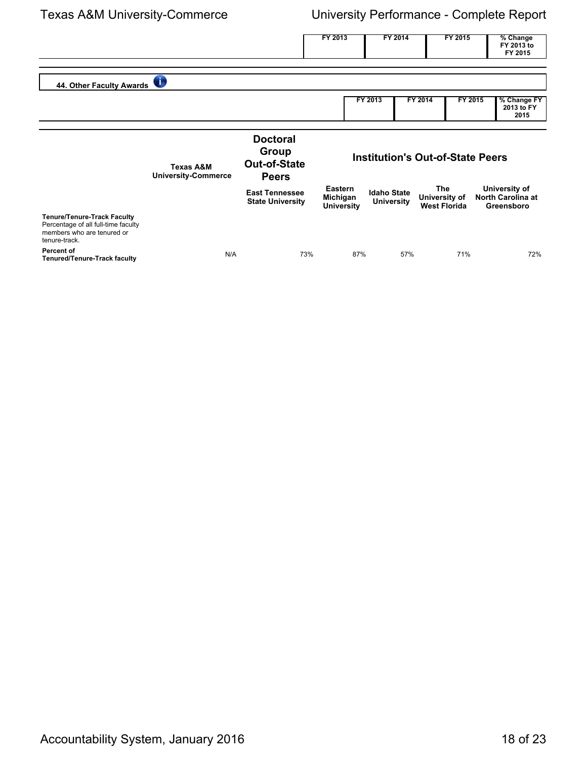|                                                                                                                          |                                                    |                                                                 | FY 2013                                  | FY 2014                                 | FY 2015                                     | % Change<br>FY 2013 to<br>FY 2015                       |
|--------------------------------------------------------------------------------------------------------------------------|----------------------------------------------------|-----------------------------------------------------------------|------------------------------------------|-----------------------------------------|---------------------------------------------|---------------------------------------------------------|
| 44. Other Faculty Awards                                                                                                 | $\bullet$                                          |                                                                 |                                          |                                         |                                             |                                                         |
|                                                                                                                          |                                                    |                                                                 |                                          | FY 2013                                 | FY 2014<br>FY 2015                          | % Change FY<br>2013 to FY<br>2015                       |
|                                                                                                                          | <b>Texas A&amp;M</b><br><b>University-Commerce</b> | <b>Doctoral</b><br>Group<br><b>Out-of-State</b><br><b>Peers</b> |                                          | <b>Institution's Out-of-State Peers</b> |                                             |                                                         |
|                                                                                                                          |                                                    | <b>East Tennessee</b><br><b>State University</b>                | Eastern<br>Michigan<br><b>University</b> | <b>Idaho State</b><br><b>University</b> | The<br>University of<br><b>West Florida</b> | University of<br><b>North Carolina at</b><br>Greensboro |
| <b>Tenure/Tenure-Track Faculty</b><br>Percentage of all full-time faculty<br>members who are tenured or<br>tenure-track. |                                                    |                                                                 |                                          |                                         |                                             |                                                         |
| Percent of<br><b>Tenured/Tenure-Track faculty</b>                                                                        | N/A                                                | 73%                                                             | 87%                                      | 57%                                     | 71%                                         | 72%                                                     |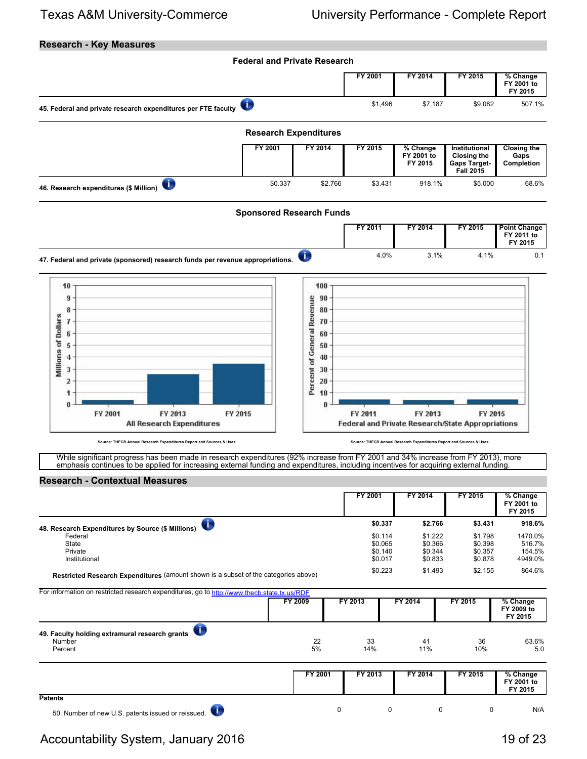## **Research - Key Measures**



While significant progress has been made in research expenditures (92% increase from FY 2001 and 34% increase from FY 2013), more emphasis continues to be applied for increasing external funding and expenditures, including incentives for acquiring external funding.

### **Research - Contextual Measures**

|                                                                                     | FY 2001 | FY 2014 | FY 2015 | % Change<br>FY 2001 to<br>FY 2015 |
|-------------------------------------------------------------------------------------|---------|---------|---------|-----------------------------------|
| 48. Research Expenditures by Source (\$ Millions)                                   | \$0.337 | \$2.766 | \$3.431 | 918.6%                            |
| Federal                                                                             | \$0.114 | \$1.222 | \$1.798 | 1470.0%                           |
| State                                                                               | \$0.065 | \$0.366 | \$0.398 | 516.7%                            |
| Private                                                                             | \$0.140 | \$0.344 | \$0.357 | 154.5%                            |
| Institutional                                                                       | \$0.017 | \$0.833 | \$0.878 | 4949.0%                           |
| Restricted Research Expenditures (amount shown is a subset of the categories above) | \$0.223 | \$1,493 | \$2.155 | 864.6%                            |

For information on restricted research expenditures, go to<http://www.thecb.state.tx.us/RDF>

|                                                                                  | FY 2009  |   | FY 2013   | FY 2014 |           | FY 2015   | % Change<br>FY 2009 to<br>FY 2015 |              |
|----------------------------------------------------------------------------------|----------|---|-----------|---------|-----------|-----------|-----------------------------------|--------------|
| $\bullet$<br>49. Faculty holding extramural research grants<br>Number<br>Percent | 22<br>5% |   | 33<br>14% |         | 41<br>11% | 36<br>10% |                                   | 63.6%<br>5.0 |
|                                                                                  | FY 2001  |   | FY 2013   |         | FY 2014   | FY 2015   | FY 2001 to<br>FY 2015             | % Change     |
| <b>Patents</b><br>U.<br>50. Number of new U.S. patents issued or reissued.       |          | 0 |           | 0       |           | 0         | 0                                 | N/A          |

## Accountability System, January 2016 19 of 23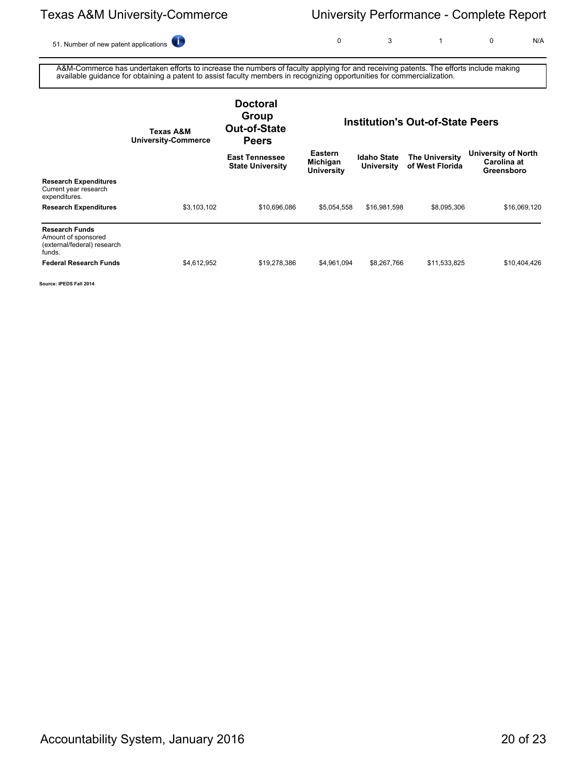51. Number of new patent applications **0** 3 1 0 N/A

A&M-Commerce has undertaken efforts to increase the numbers of faculty applying for and receiving patents. The efforts include making available guidance for obtaining a patent to assist faculty members in recognizing opportunities for commercialization.

|                                                                                       | Texas A&M<br><b>University-Commerce</b> | <b>Doctoral</b><br>Group<br>Out-of-State<br><b>Peers</b> | <b>Institution's Out-of-State Peers</b>         |                                         |                                          |                                                         |
|---------------------------------------------------------------------------------------|-----------------------------------------|----------------------------------------------------------|-------------------------------------------------|-----------------------------------------|------------------------------------------|---------------------------------------------------------|
|                                                                                       |                                         | <b>East Tennessee</b><br><b>State University</b>         | <b>Eastern</b><br>Michigan<br><b>University</b> | <b>Idaho State</b><br><b>University</b> | <b>The University</b><br>of West Florida | <b>University of North</b><br>Carolina at<br>Greensboro |
| <b>Research Expenditures</b><br>Current year research<br>expenditures.                |                                         |                                                          |                                                 |                                         |                                          |                                                         |
| <b>Research Expenditures</b>                                                          | \$3,103,102                             | \$10,696,086                                             | \$5,054,558                                     | \$16,981,598                            | \$8,095,306                              | \$16,069,120                                            |
| <b>Research Funds</b><br>Amount of sponsored<br>(external/federal) research<br>funds. |                                         |                                                          |                                                 |                                         |                                          |                                                         |
| <b>Federal Research Funds</b>                                                         | \$4,612,952                             | \$19,278,386                                             | \$4,961,094                                     | \$8,267,766                             | \$11,533,825                             | \$10,404,426                                            |

**Source: IPEDS Fall 2014**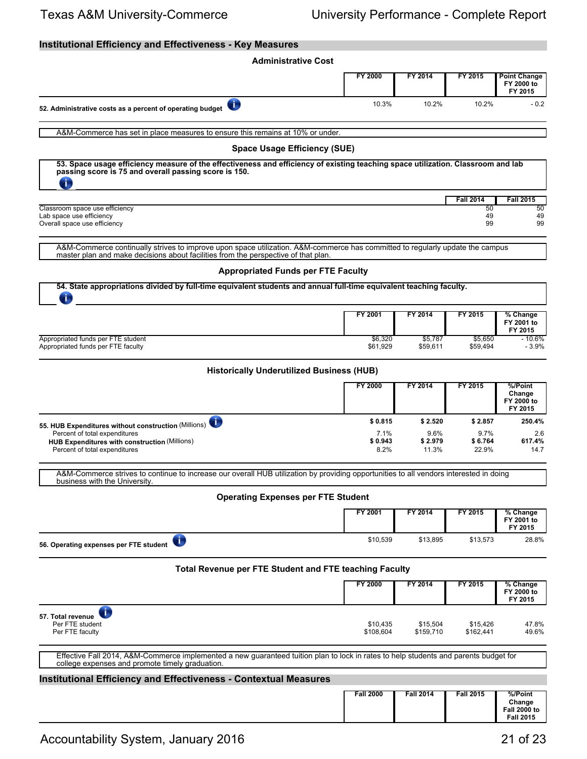## **Institutional Efficiency and Effectiveness - Key Measures**

| <b>Administrative Cost</b>                                                                                                                                                                                          |                         |                          |                          |                                                              |  |  |  |  |  |
|---------------------------------------------------------------------------------------------------------------------------------------------------------------------------------------------------------------------|-------------------------|--------------------------|--------------------------|--------------------------------------------------------------|--|--|--|--|--|
|                                                                                                                                                                                                                     | FY 2000                 | FY 2014                  | FY 2015                  | <b>Point Change</b><br>FY 2000 to<br>FY 2015                 |  |  |  |  |  |
| ī.<br>52. Administrative costs as a percent of operating budget                                                                                                                                                     | 10.3%                   | 10.2%                    | 10.2%                    | $-0.2$                                                       |  |  |  |  |  |
| A&M-Commerce has set in place measures to ensure this remains at 10% or under.                                                                                                                                      |                         |                          |                          |                                                              |  |  |  |  |  |
| <b>Space Usage Efficiency (SUE)</b>                                                                                                                                                                                 |                         |                          |                          |                                                              |  |  |  |  |  |
| 53. Space usage efficiency measure of the effectiveness and efficiency of existing teaching space utilization. Classroom and lab<br>passing score is 75 and overall passing score is 150.<br>Œ                      |                         |                          |                          |                                                              |  |  |  |  |  |
|                                                                                                                                                                                                                     |                         |                          | <b>Fall 2014</b>         | <b>Fall 2015</b>                                             |  |  |  |  |  |
| Classroom space use efficiency<br>Lab space use efficiency<br>Overall space use efficiency                                                                                                                          |                         |                          | 50<br>49<br>99           | 50<br>49<br>99                                               |  |  |  |  |  |
| A&M-Commerce continually strives to improve upon space utilization. A&M-commerce has committed to regularly update the campus<br>master plan and make decisions about facilities from the perspective of that plan. |                         |                          |                          |                                                              |  |  |  |  |  |
| <b>Appropriated Funds per FTE Faculty</b>                                                                                                                                                                           |                         |                          |                          |                                                              |  |  |  |  |  |
| 54. State appropriations divided by full-time equivalent students and annual full-time equivalent teaching faculty.<br>$\ddot{\textbf{v}}$                                                                          |                         |                          |                          |                                                              |  |  |  |  |  |
|                                                                                                                                                                                                                     | FY 2001                 | FY 2014                  | FY 2015                  | % Change<br>FY 2001 to<br>FY 2015                            |  |  |  |  |  |
| Appropriated funds per FTE student<br>Appropriated funds per FTE faculty                                                                                                                                            | \$6,320<br>\$61,929     | \$5,787<br>\$59,611      | \$5,650<br>\$59,494      | $-10.6%$<br>$-3.9%$                                          |  |  |  |  |  |
| <b>Historically Underutilized Business (HUB)</b>                                                                                                                                                                    |                         |                          |                          |                                                              |  |  |  |  |  |
|                                                                                                                                                                                                                     | FY 2000                 | FY 2014                  | FY 2015                  | %/Point<br>Change<br>FY 2000 to<br>FY 2015                   |  |  |  |  |  |
| 55. HUB Expenditures without construction (Millions)                                                                                                                                                                | \$0.815                 | \$2.520                  | \$2.857                  | 250.4%                                                       |  |  |  |  |  |
| Percent of total expenditures<br><b>HUB Expenditures with construction (Millions)</b><br>Percent of total expenditures                                                                                              | 7.1%<br>\$0.943<br>8.2% | 9.6%<br>\$2.979<br>11.3% | 9.7%<br>\$6.764<br>22.9% | 2.6<br>617.4%<br>14.7                                        |  |  |  |  |  |
| A&M-Commerce strives to continue to increase our overall HUB utilization by providing opportunities to all vendors interested in doing<br>business with the University.                                             |                         |                          |                          |                                                              |  |  |  |  |  |
| <b>Operating Expenses per FTE Student</b>                                                                                                                                                                           |                         |                          |                          |                                                              |  |  |  |  |  |
|                                                                                                                                                                                                                     | FY 2001                 | FY 2014                  | FY 2015                  | % Change<br>FY 2001 to<br>FY 2015                            |  |  |  |  |  |
| T,<br>56. Operating expenses per FTE student                                                                                                                                                                        | \$10,539                | \$13.895                 | \$13,573                 | 28.8%                                                        |  |  |  |  |  |
| <b>Total Revenue per FTE Student and FTE teaching Faculty</b>                                                                                                                                                       |                         |                          |                          |                                                              |  |  |  |  |  |
|                                                                                                                                                                                                                     | <b>FY 2000</b>          | FY 2014                  | FY 2015                  | % Change<br>FY 2000 to<br>FY 2015                            |  |  |  |  |  |
| Œ<br>57. Total revenue<br>Per FTE student<br>Per FTE faculty                                                                                                                                                        | \$10,435<br>\$108,604   | \$15,504<br>\$159,710    | \$15,426<br>\$162,441    | 47.8%<br>49.6%                                               |  |  |  |  |  |
| Effective Fall 2014, A&M-Commerce implemented a new guaranteed tuition plan to lock in rates to help students and parents budget for<br>college expenses and promote timely graduation.                             |                         |                          |                          |                                                              |  |  |  |  |  |
| <b>Institutional Efficiency and Effectiveness - Contextual Measures</b>                                                                                                                                             |                         |                          |                          |                                                              |  |  |  |  |  |
|                                                                                                                                                                                                                     | <b>Fall 2000</b>        | <b>Fall 2014</b>         | <b>Fall 2015</b>         | %/Point<br>Change<br><b>Fall 2000 to</b><br><b>Fall 2015</b> |  |  |  |  |  |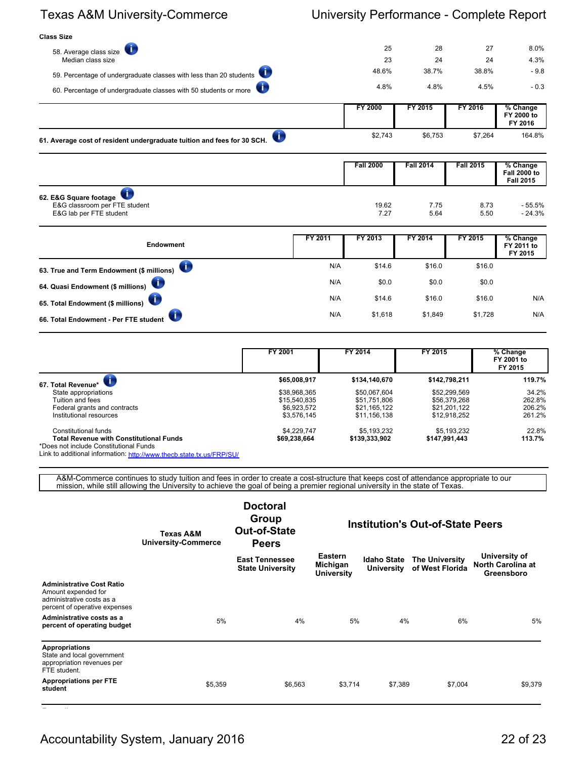| <b>Class Size</b>                                                            |         |                  |                  |                  |                                         |
|------------------------------------------------------------------------------|---------|------------------|------------------|------------------|-----------------------------------------|
| Æ<br>58. Average class size                                                  |         | 25               | 28               | 27               | 8.0%                                    |
| Median class size                                                            |         | 23               | 24               | 24               | 4.3%                                    |
| 59. Percentage of undergraduate classes with less than 20 students           |         | 48.6%            | 38.7%            | 38.8%            | $-9.8$                                  |
| 60. Percentage of undergraduate classes with 50 students or more             |         | 4.8%             | 4.8%             | 4.5%             | $-0.3$                                  |
|                                                                              |         | <b>FY 2000</b>   | FY 2015          | FY 2016          | % Change<br>FY 2000 to<br>FY 2016       |
| O<br>61. Average cost of resident undergraduate tuition and fees for 30 SCH. |         | \$2,743          | \$6,753          | \$7,264          | 164.8%                                  |
|                                                                              |         | <b>Fall 2000</b> | <b>Fall 2014</b> | <b>Fall 2015</b> | % Change                                |
|                                                                              |         |                  |                  |                  | <b>Fall 2000 to</b><br><b>Fall 2015</b> |
| 62. E&G Square footage                                                       |         |                  |                  |                  |                                         |
| E&G classroom per FTE student<br>E&G lab per FTE student                     |         | 19.62<br>7.27    | 7.75<br>5.64     | 8.73<br>5.50     | $-55.5%$<br>$-24.3%$                    |
|                                                                              | FY 2011 | FY 2013          | FY 2014          | FY 2015          | % Change                                |
| <b>Endowment</b>                                                             |         |                  |                  |                  | FY 2011 to<br>FY 2015                   |
| 63. True and Term Endowment (\$ millions)                                    | N/A     | \$14.6           | \$16.0           | \$16.0           |                                         |
| 64. Quasi Endowment (\$ millions)                                            | N/A     | \$0.0            | \$0.0            | \$0.0            |                                         |
| 65. Total Endowment (\$ millions)                                            | N/A     | \$14.6           | \$16.0           | \$16.0           | N/A                                     |
| 66. Total Endowment - Per FTE student                                        | N/A     | \$1,618          | \$1,849          | \$1,728          | N/A                                     |

|                                                                                   | FY 2001      | FY 2014       | FY 2015       | $\sqrt%$ Change<br>FY 2001 to<br>FY 2015 |
|-----------------------------------------------------------------------------------|--------------|---------------|---------------|------------------------------------------|
| 67. Total Revenue*                                                                | \$65,008,917 | \$134,140,670 | \$142,798,211 | 119.7%                                   |
| State appropriations                                                              | \$38,968,365 | \$50,067,604  | \$52,299,569  | 34.2%                                    |
| Tuition and fees                                                                  | \$15,540,835 | \$51.751.806  | \$56,379,268  | 262.8%                                   |
| Federal grants and contracts                                                      | \$6,923,572  | \$21.165.122  | \$21.201.122  | 206.2%                                   |
| Institutional resources                                                           | \$3,576,145  | \$11,156,138  | \$12,918,252  | 261.2%                                   |
| Constitutional funds                                                              | \$4,229,747  | \$5,193,232   | \$5,193,232   | 22.8%                                    |
| Total Revenue with Constitutional Funds<br>*Does not include Constitutional Funds | \$69.238.664 | \$139,333,902 | \$147,991,443 | 113.7%                                   |

Link to additional information: <http://www.thecb.state.tx.us/FRP/SU/>

A&M-Commerce continues to study tuition and fees in order to create a cost-structure that keeps cost of attendance appropriate to our mission, while still allowing the University to achieve the goal of being a premier regional university in the state of Texas.

|                                                                                                                       | Texas A&M<br><b>University-Commerce</b> | <b>Doctoral</b><br>Group<br>Out-of-State<br><b>Peers</b> |                                                 |                                         | <b>Institution's Out-of-State Peers</b>  |                                                         |  |
|-----------------------------------------------------------------------------------------------------------------------|-----------------------------------------|----------------------------------------------------------|-------------------------------------------------|-----------------------------------------|------------------------------------------|---------------------------------------------------------|--|
|                                                                                                                       |                                         | <b>East Tennessee</b><br><b>State University</b>         | <b>Eastern</b><br>Michigan<br><b>University</b> | <b>Idaho State</b><br><b>University</b> | <b>The University</b><br>of West Florida | University of<br><b>North Carolina at</b><br>Greensboro |  |
| <b>Administrative Cost Ratio</b><br>Amount expended for<br>administrative costs as a<br>percent of operative expenses |                                         |                                                          |                                                 |                                         |                                          |                                                         |  |
| Administrative costs as a<br>percent of operating budget                                                              | 5%                                      | 4%                                                       | 5%                                              | 4%                                      | 6%                                       | 5%                                                      |  |
| <b>Appropriations</b><br>State and local government<br>appropriation revenues per<br>FTE student.                     |                                         |                                                          |                                                 |                                         |                                          |                                                         |  |
| <b>Appropriations per FTE</b><br>student                                                                              | \$5,359                                 | \$6,563                                                  | \$3,714                                         | \$7,389                                 | \$7,004                                  | \$9,379                                                 |  |

**Expenditures**